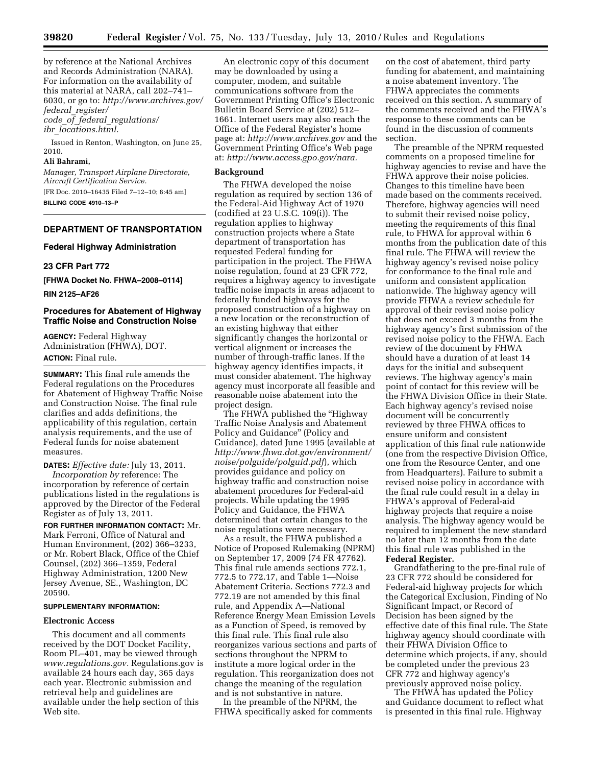by reference at the National Archives and Records Administration (NARA). For information on the availability of this material at NARA, call 202–741– 6030, or go to: *[http://www.archives.gov/](http://www.archives.gov/federal_register/code_of_federal_regulations/ibr_locations.html) federal*\_*[register/](http://www.archives.gov/federal_register/code_of_federal_regulations/ibr_locations.html) code*\_*of*\_*federal*\_*[regulations/](http://www.archives.gov/federal_register/code_of_federal_regulations/ibr_locations.html)  ibr*\_*[locations.html.](http://www.archives.gov/federal_register/code_of_federal_regulations/ibr_locations.html)* 

Issued in Renton, Washington, on June 25, 2010.

### **Ali Bahrami,**

*Manager, Transport Airplane Directorate, Aircraft Certification Service.*  [FR Doc. 2010–16435 Filed 7–12–10; 8:45 am]

**BILLING CODE 4910–13–P** 

### **DEPARTMENT OF TRANSPORTATION**

#### **Federal Highway Administration**

## **23 CFR Part 772**

**[FHWA Docket No. FHWA–2008–0114]** 

**RIN 2125–AF26** 

## **Procedures for Abatement of Highway Traffic Noise and Construction Noise**

**AGENCY:** Federal Highway Administration (FHWA), DOT. **ACTION:** Final rule.

**SUMMARY:** This final rule amends the Federal regulations on the Procedures for Abatement of Highway Traffic Noise and Construction Noise. The final rule clarifies and adds definitions, the applicability of this regulation, certain analysis requirements, and the use of Federal funds for noise abatement measures.

**DATES:** *Effective date:* July 13, 2011. *Incorporation by* reference: The incorporation by reference of certain publications listed in the regulations is approved by the Director of the Federal Register as of July 13, 2011.

**FOR FURTHER INFORMATION CONTACT:** Mr. Mark Ferroni, Office of Natural and Human Environment, (202) 366–3233, or Mr. Robert Black, Office of the Chief Counsel, (202) 366–1359, Federal Highway Administration, 1200 New Jersey Avenue, SE., Washington, DC 20590.

### **SUPPLEMENTARY INFORMATION:**

### **Electronic Access**

This document and all comments received by the DOT Docket Facility, Room PL–401, may be viewed through *[www.regulations.gov.](http://www.regulations.gov)* Regulations.gov is available 24 hours each day, 365 days each year. Electronic submission and retrieval help and guidelines are available under the help section of this Web site.

An electronic copy of this document may be downloaded by using a computer, modem, and suitable communications software from the Government Printing Office's Electronic Bulletin Board Service at (202) 512– 1661. Internet users may also reach the Office of the Federal Register's home page at: *<http://www.archives.gov>*and the Government Printing Office's Web page at: *[http://www.access.gpo.gov/nara.](http://www.access.gpo.gov/nara)* 

### **Background**

The FHWA developed the noise regulation as required by section 136 of the Federal-Aid Highway Act of 1970 (codified at 23 U.S.C. 109(i)). The regulation applies to highway construction projects where a State department of transportation has requested Federal funding for participation in the project. The FHWA noise regulation, found at 23 CFR 772, requires a highway agency to investigate traffic noise impacts in areas adjacent to federally funded highways for the proposed construction of a highway on a new location or the reconstruction of an existing highway that either significantly changes the horizontal or vertical alignment or increases the number of through-traffic lanes. If the highway agency identifies impacts, it must consider abatement. The highway agency must incorporate all feasible and reasonable noise abatement into the project design.

The FHWA published the "Highway Traffic Noise Analysis and Abatement Policy and Guidance'' (Policy and Guidance), dated June 1995 (available at *[http://www.fhwa.dot.gov/environment/](http://www.fhwa.dot.gov/environment/noise/polguide/polguid.pdf) [noise/polguide/polguid.pdf](http://www.fhwa.dot.gov/environment/noise/polguide/polguid.pdf)*), which provides guidance and policy on highway traffic and construction noise abatement procedures for Federal-aid projects. While updating the 1995 Policy and Guidance, the FHWA determined that certain changes to the noise regulations were necessary.

As a result, the FHWA published a Notice of Proposed Rulemaking (NPRM) on September 17, 2009 (74 FR 47762). This final rule amends sections 772.1, 772.5 to 772.17, and Table 1—Noise Abatement Criteria. Sections 772.3 and 772.19 are not amended by this final rule, and Appendix A—National Reference Energy Mean Emission Levels as a Function of Speed, is removed by this final rule. This final rule also reorganizes various sections and parts of sections throughout the NPRM to institute a more logical order in the regulation. This reorganization does not change the meaning of the regulation and is not substantive in nature.

In the preamble of the NPRM, the FHWA specifically asked for comments

on the cost of abatement, third party funding for abatement, and maintaining a noise abatement inventory. The FHWA appreciates the comments received on this section. A summary of the comments received and the FHWA's response to these comments can be found in the discussion of comments section.

The preamble of the NPRM requested comments on a proposed timeline for highway agencies to revise and have the FHWA approve their noise policies. Changes to this timeline have been made based on the comments received. Therefore, highway agencies will need to submit their revised noise policy, meeting the requirements of this final rule, to FHWA for approval within 6 months from the publication date of this final rule. The FHWA will review the highway agency's revised noise policy for conformance to the final rule and uniform and consistent application nationwide. The highway agency will provide FHWA a review schedule for approval of their revised noise policy that does not exceed 3 months from the highway agency's first submission of the revised noise policy to the FHWA. Each review of the document by FHWA should have a duration of at least 14 days for the initial and subsequent reviews. The highway agency's main point of contact for this review will be the FHWA Division Office in their State. Each highway agency's revised noise document will be concurrently reviewed by three FHWA offices to ensure uniform and consistent application of this final rule nationwide (one from the respective Division Office, one from the Resource Center, and one from Headquarters). Failure to submit a revised noise policy in accordance with the final rule could result in a delay in FHWA's approval of Federal-aid highway projects that require a noise analysis. The highway agency would be required to implement the new standard no later than 12 months from the date this final rule was published in the **Federal Register.** 

Grandfathering to the pre-final rule of 23 CFR 772 should be considered for Federal-aid highway projects for which the Categorical Exclusion, Finding of No Significant Impact, or Record of Decision has been signed by the effective date of this final rule. The State highway agency should coordinate with their FHWA Division Office to determine which projects, if any, should be completed under the previous 23 CFR 772 and highway agency's previously approved noise policy.

The FHWA has updated the Policy and Guidance document to reflect what is presented in this final rule. Highway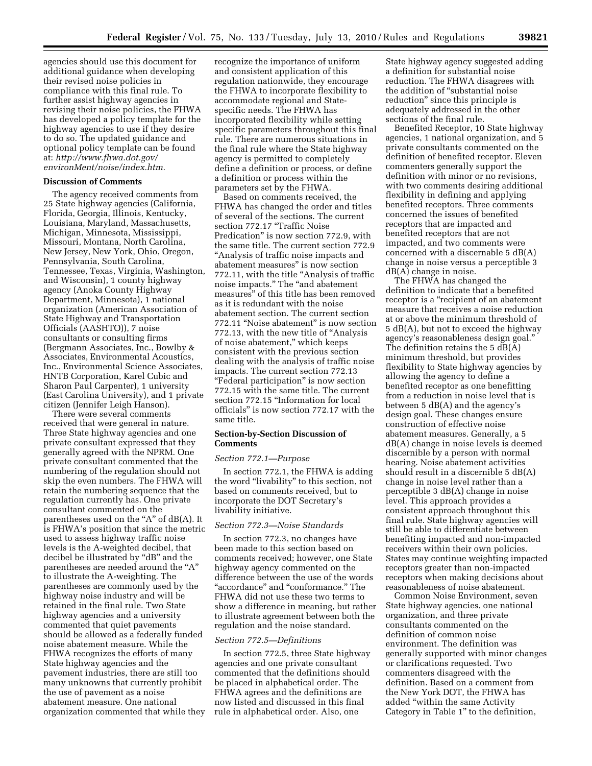agencies should use this document for additional guidance when developing their revised noise policies in compliance with this final rule. To further assist highway agencies in revising their noise policies, the FHWA has developed a policy template for the highway agencies to use if they desire to do so. The updated guidance and optional policy template can be found at: *[http://www.fhwa.dot.gov/](http://www.fhwa.dot.gov/environMent/noise/index.htm) [environMent/noise/index.htm.](http://www.fhwa.dot.gov/environMent/noise/index.htm)* 

### **Discussion of Comments**

The agency received comments from 25 State highway agencies (California, Florida, Georgia, Illinois, Kentucky, Louisiana, Maryland, Massachusetts, Michigan, Minnesota, Mississippi, Missouri, Montana, North Carolina, New Jersey, New York, Ohio, Oregon, Pennsylvania, South Carolina, Tennessee, Texas, Virginia, Washington, and Wisconsin), 1 county highway agency (Anoka County Highway Department, Minnesota), 1 national organization (American Association of State Highway and Transportation Officials (AASHTO)), 7 noise consultants or consulting firms (Bergmann Associates, Inc., Bowlby & Associates, Environmental Acoustics, Inc., Environmental Science Associates, HNTB Corporation, Karel Cubic and Sharon Paul Carpenter), 1 university (East Carolina University), and 1 private citizen (Jennifer Leigh Hanson).

There were several comments received that were general in nature. Three State highway agencies and one private consultant expressed that they generally agreed with the NPRM. One private consultant commented that the numbering of the regulation should not skip the even numbers. The FHWA will retain the numbering sequence that the regulation currently has. One private consultant commented on the parentheses used on the " $A$ " of  $dB(A)$ . It is FHWA's position that since the metric used to assess highway traffic noise levels is the A-weighted decibel, that decibel be illustrated by ''dB'' and the parentheses are needed around the ''A'' to illustrate the A-weighting. The parentheses are commonly used by the highway noise industry and will be retained in the final rule. Two State highway agencies and a university commented that quiet pavements should be allowed as a federally funded noise abatement measure. While the FHWA recognizes the efforts of many State highway agencies and the pavement industries, there are still too many unknowns that currently prohibit the use of pavement as a noise abatement measure. One national organization commented that while they recognize the importance of uniform and consistent application of this regulation nationwide, they encourage the FHWA to incorporate flexibility to accommodate regional and Statespecific needs. The FHWA has incorporated flexibility while setting specific parameters throughout this final rule. There are numerous situations in the final rule where the State highway agency is permitted to completely define a definition or process, or define a definition or process within the parameters set by the FHWA.

Based on comments received, the FHWA has changed the order and titles of several of the sections. The current section 772.17 "Traffic Noise Predication'' is now section 772.9, with the same title. The current section 772.9 ''Analysis of traffic noise impacts and abatement measures'' is now section 772.11, with the title ''Analysis of traffic noise impacts.'' The ''and abatement measures'' of this title has been removed as it is redundant with the noise abatement section. The current section 772.11 ''Noise abatement'' is now section 772.13, with the new title of ''Analysis of noise abatement,'' which keeps consistent with the previous section dealing with the analysis of traffic noise impacts. The current section 772.13 ''Federal participation'' is now section 772.15 with the same title. The current section 772.15 ''Information for local officials'' is now section 772.17 with the same title.

### **Section-by-Section Discussion of Comments**

#### *Section 772.1—Purpose*

In section 772.1, the FHWA is adding the word ''livability'' to this section, not based on comments received, but to incorporate the DOT Secretary's livability initiative.

#### *Section 772.3—Noise Standards*

In section 772.3, no changes have been made to this section based on comments received; however, one State highway agency commented on the difference between the use of the words ''accordance'' and ''conformance.'' The FHWA did not use these two terms to show a difference in meaning, but rather to illustrate agreement between both the regulation and the noise standard.

### *Section 772.5—Definitions*

In section 772.5, three State highway agencies and one private consultant commented that the definitions should be placed in alphabetical order. The FHWA agrees and the definitions are now listed and discussed in this final rule in alphabetical order. Also, one

State highway agency suggested adding a definition for substantial noise reduction. The FHWA disagrees with the addition of ''substantial noise reduction'' since this principle is adequately addressed in the other sections of the final rule.

Benefited Receptor, 10 State highway agencies, 1 national organization, and 5 private consultants commented on the definition of benefited receptor. Eleven commenters generally support the definition with minor or no revisions, with two comments desiring additional flexibility in defining and applying benefited receptors. Three comments concerned the issues of benefited receptors that are impacted and benefited receptors that are not impacted, and two comments were concerned with a discernable 5 dB(A) change in noise versus a perceptible 3 dB(A) change in noise.

The FHWA has changed the definition to indicate that a benefited receptor is a "recipient of an abatement measure that receives a noise reduction at or above the minimum threshold of 5 dB(A), but not to exceed the highway agency's reasonableness design goal.'' The definition retains the 5 dB(A) minimum threshold, but provides flexibility to State highway agencies by allowing the agency to define a benefited receptor as one benefitting from a reduction in noise level that is between 5 dB(A) and the agency's design goal. These changes ensure construction of effective noise abatement measures. Generally, a 5 dB(A) change in noise levels is deemed discernible by a person with normal hearing. Noise abatement activities should result in a discernible 5 dB(A) change in noise level rather than a perceptible 3 dB(A) change in noise level. This approach provides a consistent approach throughout this final rule. State highway agencies will still be able to differentiate between benefiting impacted and non-impacted receivers within their own policies. States may continue weighting impacted receptors greater than non-impacted receptors when making decisions about reasonableness of noise abatement.

Common Noise Environment, seven State highway agencies, one national organization, and three private consultants commented on the definition of common noise environment. The definition was generally supported with minor changes or clarifications requested. Two commenters disagreed with the definition. Based on a comment from the New York DOT, the FHWA has added ''within the same Activity Category in Table 1'' to the definition,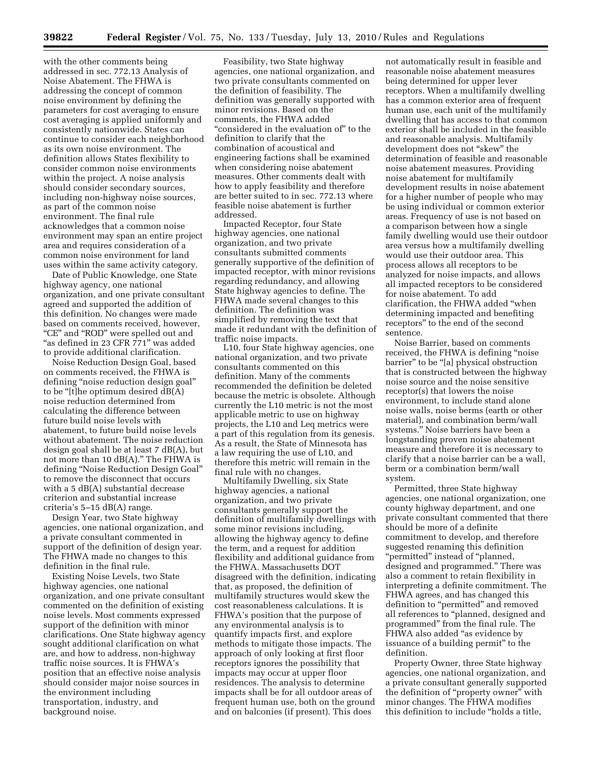with the other comments being addressed in sec. 772.13 Analysis of Noise Abatement. The FHWA is addressing the concept of common noise environment by defining the parameters for cost averaging to ensure cost averaging is applied uniformly and consistently nationwide. States can continue to consider each neighborhood as its own noise environment. The definition allows States flexibility to consider common noise environments within the project. A noise analysis should consider secondary sources, including non-highway noise sources, as part of the common noise environment. The final rule acknowledges that a common noise environment may span an entire project area and requires consideration of a common noise environment for land uses within the same activity category.

Date of Public Knowledge, one State highway agency, one national organization, and one private consultant agreed and supported the addition of this definition. No changes were made based on comments received, however, "CE" and "ROD" were spelled out and "as defined in 23 CFR 771" was added to provide additional clarification.

Noise Reduction Design Goal, based on comments received, the FHWA is defining "noise reduction design goal" to be ''[t]he optimum desired dB(A) noise reduction determined from calculating the difference between future build noise levels with abatement, to future build noise levels without abatement. The noise reduction design goal shall be at least 7 dB(A), but not more than 10 dB(A).'' The FHWA is defining ''Noise Reduction Design Goal'' to remove the disconnect that occurs with a 5 dB(A) substantial decrease criterion and substantial increase criteria's 5–15 dB(A) range.

Design Year, two State highway agencies, one national organization, and a private consultant commented in support of the definition of design year. The FHWA made no changes to this definition in the final rule.

Existing Noise Levels, two State highway agencies, one national organization, and one private consultant commented on the definition of existing noise levels. Most comments expressed support of the definition with minor clarifications. One State highway agency sought additional clarification on what are, and how to address, non-highway traffic noise sources. It is FHWA's position that an effective noise analysis should consider major noise sources in the environment including transportation, industry, and background noise.

Feasibility, two State highway agencies, one national organization, and two private consultants commented on the definition of feasibility. The definition was generally supported with minor revisions. Based on the comments, the FHWA added "considered in the evaluation of" to the definition to clarify that the combination of acoustical and engineering factions shall be examined when considering noise abatement measures. Other comments dealt with how to apply feasibility and therefore are better suited to in sec. 772.13 where feasible noise abatement is further addressed.

Impacted Receptor, four State highway agencies, one national organization, and two private consultants submitted comments generally supportive of the definition of impacted receptor, with minor revisions regarding redundancy, and allowing State highway agencies to define. The FHWA made several changes to this definition. The definition was simplified by removing the text that made it redundant with the definition of traffic noise impacts.

L10, four State highway agencies, one national organization, and two private consultants commented on this definition. Many of the comments recommended the definition be deleted because the metric is obsolete. Although currently the L10 metric is not the most applicable metric to use on highway projects, the L10 and Leq metrics were a part of this regulation from its genesis. As a result, the State of Minnesota has a law requiring the use of L10, and therefore this metric will remain in the final rule with no changes.

Multifamily Dwelling, six State highway agencies, a national organization, and two private consultants generally support the definition of multifamily dwellings with some minor revisions including, allowing the highway agency to define the term, and a request for addition flexibility and additional guidance from the FHWA. Massachusetts DOT disagreed with the definition, indicating that, as proposed, the definition of multifamily structures would skew the cost reasonableness calculations. It is FHWA's position that the purpose of any environmental analysis is to quantify impacts first, and explore methods to mitigate those impacts. The approach of only looking at first floor receptors ignores the possibility that impacts may occur at upper floor residences. The analysis to determine impacts shall be for all outdoor areas of frequent human use, both on the ground and on balconies (if present). This does

not automatically result in feasible and reasonable noise abatement measures being determined for upper lever receptors. When a multifamily dwelling has a common exterior area of frequent human use, each unit of the multifamily dwelling that has access to that common exterior shall be included in the feasible and reasonable analysis. Multifamily development does not ''skew'' the determination of feasible and reasonable noise abatement measures. Providing noise abatement for multifamily development results in noise abatement for a higher number of people who may be using individual or common exterior areas. Frequency of use is not based on a comparison between how a single family dwelling would use their outdoor area versus how a multifamily dwelling would use their outdoor area. This process allows all receptors to be analyzed for noise impacts, and allows all impacted receptors to be considered for noise abatement. To add clarification, the FHWA added ''when determining impacted and benefiting receptors'' to the end of the second sentence.

Noise Barrier, based on comments received, the FHWA is defining "noise" barrier'' to be ''[a] physical obstruction that is constructed between the highway noise source and the noise sensitive receptor(s) that lowers the noise environment, to include stand alone noise walls, noise berms (earth or other material), and combination berm/wall systems.'' Noise barriers have been a longstanding proven noise abatement measure and therefore it is necessary to clarify that a noise barrier can be a wall, berm or a combination berm/wall system.

Permitted, three State highway agencies, one national organization, one county highway department, and one private consultant commented that there should be more of a definite commitment to develop, and therefore suggested renaming this definition ''permitted'' instead of ''planned, designed and programmed.'' There was also a comment to retain flexibility in interpreting a definite commitment. The FHWA agrees, and has changed this definition to "permitted" and removed all references to ''planned, designed and programmed'' from the final rule. The FHWA also added "as evidence by issuance of a building permit'' to the definition.

Property Owner, three State highway agencies, one national organization, and a private consultant generally supported the definition of ''property owner'' with minor changes. The FHWA modifies this definition to include ''holds a title,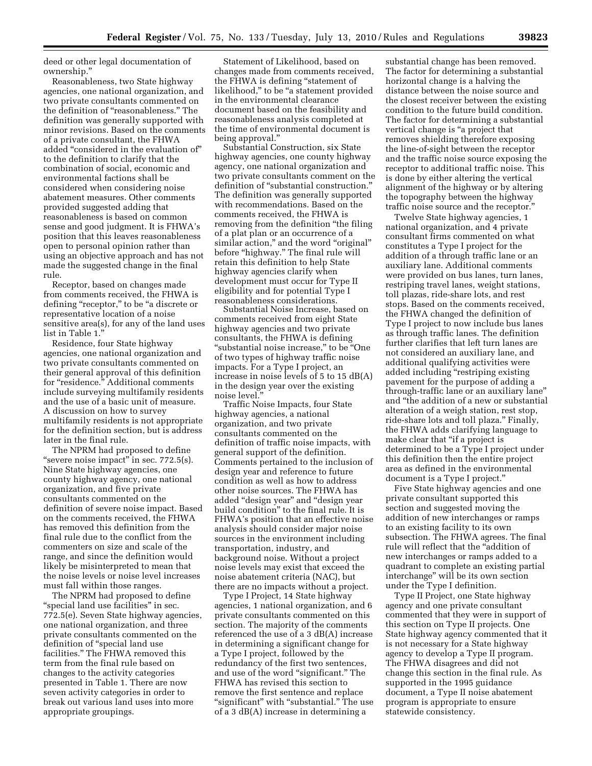deed or other legal documentation of ownership.''

Reasonableness, two State highway agencies, one national organization, and two private consultants commented on the definition of "reasonableness." The definition was generally supported with minor revisions. Based on the comments of a private consultant, the FHWA added ''considered in the evaluation of'' to the definition to clarify that the combination of social, economic and environmental factions shall be considered when considering noise abatement measures. Other comments provided suggested adding that reasonableness is based on common sense and good judgment. It is FHWA's position that this leaves reasonableness open to personal opinion rather than using an objective approach and has not made the suggested change in the final rule.

Receptor, based on changes made from comments received, the FHWA is defining "receptor," to be "a discrete or representative location of a noise sensitive area(s), for any of the land uses list in Table 1.''

Residence, four State highway agencies, one national organization and two private consultants commented on their general approval of this definition for ''residence.'' Additional comments include surveying multifamily residents and the use of a basic unit of measure. A discussion on how to survey multifamily residents is not appropriate for the definition section, but is address later in the final rule.

The NPRM had proposed to define "severe noise impact" in sec.  $772.5(s)$ . Nine State highway agencies, one county highway agency, one national organization, and five private consultants commented on the definition of severe noise impact. Based on the comments received, the FHWA has removed this definition from the final rule due to the conflict from the commenters on size and scale of the range, and since the definition would likely be misinterpreted to mean that the noise levels or noise level increases must fall within those ranges.

The NPRM had proposed to define ''special land use facilities'' in sec. 772.5(e). Seven State highway agencies, one national organization, and three private consultants commented on the definition of ''special land use facilities.'' The FHWA removed this term from the final rule based on changes to the activity categories presented in Table 1. There are now seven activity categories in order to break out various land uses into more appropriate groupings.

Statement of Likelihood, based on changes made from comments received, the FHWA is defining ''statement of likelihood," to be "a statement provided in the environmental clearance document based on the feasibility and reasonableness analysis completed at the time of environmental document is being approval.''

Substantial Construction, six State highway agencies, one county highway agency, one national organization and two private consultants comment on the definition of "substantial construction." The definition was generally supported with recommendations. Based on the comments received, the FHWA is removing from the definition "the filing of a plat plan or an occurrence of a similar action," and the word "original" before "highway." The final rule will retain this definition to help State highway agencies clarify when development must occur for Type II eligibility and for potential Type I reasonableness considerations.

Substantial Noise Increase, based on comments received from eight State highway agencies and two private consultants, the FHWA is defining "substantial noise increase," to be "One of two types of highway traffic noise impacts. For a Type I project, an increase in noise levels of 5 to 15 dB(A) in the design year over the existing noise level.''

Traffic Noise Impacts, four State highway agencies, a national organization, and two private consultants commented on the definition of traffic noise impacts, with general support of the definition. Comments pertained to the inclusion of design year and reference to future condition as well as how to address other noise sources. The FHWA has added ''design year'' and ''design year build condition'' to the final rule. It is FHWA's position that an effective noise analysis should consider major noise sources in the environment including transportation, industry, and background noise. Without a project noise levels may exist that exceed the noise abatement criteria (NAC), but there are no impacts without a project.

Type I Project, 14 State highway agencies, 1 national organization, and 6 private consultants commented on this section. The majority of the comments referenced the use of a 3 dB(A) increase in determining a significant change for a Type I project, followed by the redundancy of the first two sentences, and use of the word "significant." The FHWA has revised this section to remove the first sentence and replace "significant" with "substantial." The use of a 3 dB(A) increase in determining a

substantial change has been removed. The factor for determining a substantial horizontal change is a halving the distance between the noise source and the closest receiver between the existing condition to the future build condition. The factor for determining a substantial vertical change is ''a project that removes shielding therefore exposing the line-of-sight between the receptor and the traffic noise source exposing the receptor to additional traffic noise. This is done by either altering the vertical alignment of the highway or by altering the topography between the highway traffic noise source and the receptor.''

Twelve State highway agencies, 1 national organization, and 4 private consultant firms commented on what constitutes a Type I project for the addition of a through traffic lane or an auxiliary lane. Additional comments were provided on bus lanes, turn lanes, restriping travel lanes, weight stations, toll plazas, ride-share lots, and rest stops. Based on the comments received, the FHWA changed the definition of Type I project to now include bus lanes as through traffic lanes. The definition further clarifies that left turn lanes are not considered an auxiliary lane, and additional qualifying activities were added including "restriping existing pavement for the purpose of adding a through-traffic lane or an auxiliary lane'' and ''the addition of a new or substantial alteration of a weigh station, rest stop, ride-share lots and toll plaza.'' Finally, the FHWA adds clarifying language to make clear that "if a project is determined to be a Type I project under this definition then the entire project area as defined in the environmental document is a Type I project.''

Five State highway agencies and one private consultant supported this section and suggested moving the addition of new interchanges or ramps to an existing facility to its own subsection. The FHWA agrees. The final rule will reflect that the ''addition of new interchanges or ramps added to a quadrant to complete an existing partial interchange'' will be its own section under the Type I definition.

Type II Project, one State highway agency and one private consultant commented that they were in support of this section on Type II projects. One State highway agency commented that it is not necessary for a State highway agency to develop a Type II program. The FHWA disagrees and did not change this section in the final rule. As supported in the 1995 guidance document, a Type II noise abatement program is appropriate to ensure statewide consistency.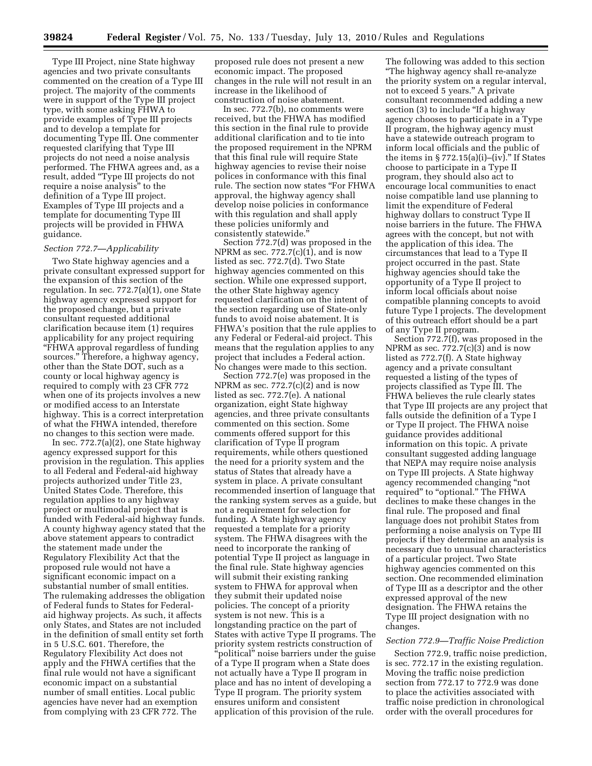Type III Project, nine State highway agencies and two private consultants commented on the creation of a Type III project. The majority of the comments were in support of the Type III project type, with some asking FHWA to provide examples of Type III projects and to develop a template for documenting Type III. One commenter requested clarifying that Type III projects do not need a noise analysis performed. The FHWA agrees and, as a result, added ''Type III projects do not require a noise analysis'' to the definition of a Type III project. Examples of Type III projects and a template for documenting Type III projects will be provided in FHWA guidance.

### *Section 772.7—Applicability*

Two State highway agencies and a private consultant expressed support for the expansion of this section of the regulation. In sec. 772.7(a)(1), one State highway agency expressed support for the proposed change, but a private consultant requested additional clarification because item (1) requires applicability for any project requiring ''FHWA approval regardless of funding sources.'' Therefore, a highway agency, other than the State DOT, such as a county or local highway agency is required to comply with 23 CFR 772 when one of its projects involves a new or modified access to an Interstate highway. This is a correct interpretation of what the FHWA intended, therefore no changes to this section were made.

In sec. 772.7(a)(2), one State highway agency expressed support for this provision in the regulation. This applies to all Federal and Federal-aid highway projects authorized under Title 23, United States Code. Therefore, this regulation applies to any highway project or multimodal project that is funded with Federal-aid highway funds. A county highway agency stated that the above statement appears to contradict the statement made under the Regulatory Flexibility Act that the proposed rule would not have a significant economic impact on a substantial number of small entities. The rulemaking addresses the obligation of Federal funds to States for Federalaid highway projects. As such, it affects only States, and States are not included in the definition of small entity set forth in 5 U.S.C. 601. Therefore, the Regulatory Flexibility Act does not apply and the FHWA certifies that the final rule would not have a significant economic impact on a substantial number of small entities. Local public agencies have never had an exemption from complying with 23 CFR 772. The

proposed rule does not present a new economic impact. The proposed changes in the rule will not result in an increase in the likelihood of construction of noise abatement.

In sec. 772.7(b), no comments were received, but the FHWA has modified this section in the final rule to provide additional clarification and to tie into the proposed requirement in the NPRM that this final rule will require State highway agencies to revise their noise polices in conformance with this final rule. The section now states ''For FHWA approval, the highway agency shall develop noise policies in conformance with this regulation and shall apply these policies uniformly and consistently statewide."

Section 772.7(d) was proposed in the NPRM as sec.  $772.7(c)(1)$ , and is now listed as sec. 772.7(d). Two State highway agencies commented on this section. While one expressed support, the other State highway agency requested clarification on the intent of the section regarding use of State-only funds to avoid noise abatement. It is FHWA's position that the rule applies to any Federal or Federal-aid project. This means that the regulation applies to any project that includes a Federal action. No changes were made to this section.

Section 772.7(e) was proposed in the NPRM as sec.  $772.7(c)(2)$  and is now listed as sec. 772.7(e). A national organization, eight State highway agencies, and three private consultants commented on this section. Some comments offered support for this clarification of Type II program requirements, while others questioned the need for a priority system and the status of States that already have a system in place. A private consultant recommended insertion of language that the ranking system serves as a guide, but not a requirement for selection for funding. A State highway agency requested a template for a priority system. The FHWA disagrees with the need to incorporate the ranking of potential Type II project as language in the final rule. State highway agencies will submit their existing ranking system to FHWA for approval when they submit their updated noise policies. The concept of a priority system is not new. This is a longstanding practice on the part of States with active Type II programs. The priority system restricts construction of ''political'' noise barriers under the guise of a Type II program when a State does not actually have a Type II program in place and has no intent of developing a Type II program. The priority system ensures uniform and consistent application of this provision of the rule.

The following was added to this section ''The highway agency shall re-analyze the priority system on a regular interval, not to exceed 5 years.'' A private consultant recommended adding a new section (3) to include "If a highway agency chooses to participate in a Type II program, the highway agency must have a statewide outreach program to inform local officials and the public of the items in  $\S 772.15(a)(i)$ –(iv)." If States choose to participate in a Type II program, they should also act to encourage local communities to enact noise compatible land use planning to limit the expenditure of Federal highway dollars to construct Type II noise barriers in the future. The FHWA agrees with the concept, but not with the application of this idea. The circumstances that lead to a Type II project occurred in the past. State highway agencies should take the opportunity of a Type II project to inform local officials about noise compatible planning concepts to avoid future Type I projects. The development of this outreach effort should be a part of any Type II program.

Section 772.7(f), was proposed in the NPRM as sec.  $772.7(c)(3)$  and is now listed as 772.7(f). A State highway agency and a private consultant requested a listing of the types of projects classified as Type III. The FHWA believes the rule clearly states that Type III projects are any project that falls outside the definition of a Type I or Type II project. The FHWA noise guidance provides additional information on this topic. A private consultant suggested adding language that NEPA may require noise analysis on Type III projects. A State highway agency recommended changing ''not required" to "optional." The FHWA declines to make these changes in the final rule. The proposed and final language does not prohibit States from performing a noise analysis on Type III projects if they determine an analysis is necessary due to unusual characteristics of a particular project. Two State highway agencies commented on this section. One recommended elimination of Type III as a descriptor and the other expressed approval of the new designation. The FHWA retains the Type III project designation with no changes.

## *Section 772.9—Traffic Noise Prediction*

Section 772.9, traffic noise prediction, is sec. 772.17 in the existing regulation. Moving the traffic noise prediction section from 772.17 to 772.9 was done to place the activities associated with traffic noise prediction in chronological order with the overall procedures for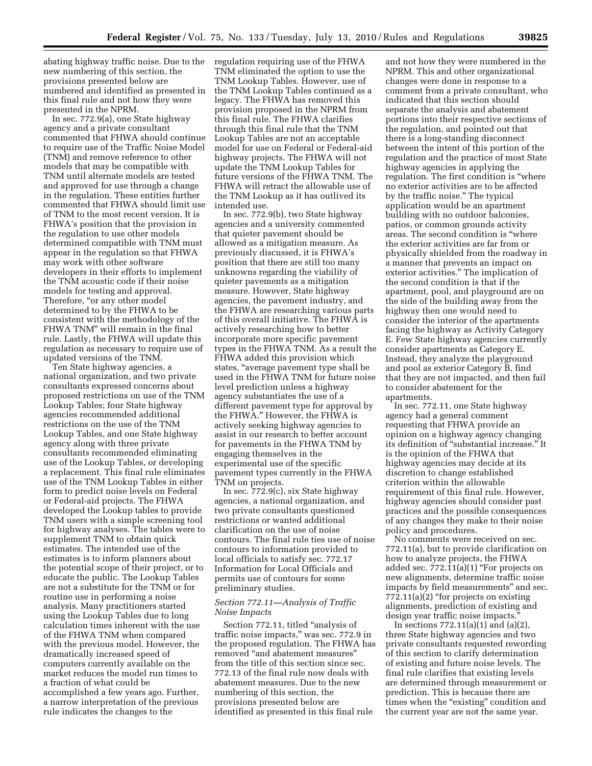abating highway traffic noise. Due to the new numbering of this section, the provisions presented below are numbered and identified as presented in this final rule and not how they were presented in the NPRM.

In sec. 772.9(a), one State highway agency and a private consultant commented that FHWA should continue to require use of the Traffic Noise Model (TNM) and remove reference to other models that may be compatible with TNM until alternate models are tested and approved for use through a change in the regulation. These entities further commented that FHWA should limit use of TNM to the most recent version. It is FHWA's position that the provision in the regulation to use other models determined compatible with TNM must appear in the regulation so that FHWA may work with other software developers in their efforts to implement the TNM acoustic code if their noise models for testing and approval. Therefore, "or any other model determined to by the FHWA to be consistent with the methodology of the FHWA TNM'' will remain in the final rule. Lastly, the FHWA will update this regulation as necessary to require use of updated versions of the TNM.

Ten State highway agencies, a national organization, and two private consultants expressed concerns about proposed restrictions on use of the TNM Lookup Tables; four State highway agencies recommended additional restrictions on the use of the TNM Lookup Tables, and one State highway agency along with three private consultants recommended eliminating use of the Lookup Tables, or developing a replacement. This final rule eliminates use of the TNM Lookup Tables in either form to predict noise levels on Federal or Federal-aid projects. The FHWA developed the Lookup tables to provide TNM users with a simple screening tool for highway analyses. The tables were to supplement TNM to obtain quick estimates. The intended use of the estimates is to inform planners about the potential scope of their project, or to educate the public. The Lookup Tables are not a substitute for the TNM or for routine use in performing a noise analysis. Many practitioners started using the Lookup Tables due to long calculation times inherent with the use of the FHWA TNM when compared with the previous model. However, the dramatically increased speed of computers currently available on the market reduces the model run times to a fraction of what could be accomplished a few years ago. Further, a narrow interpretation of the previous rule indicates the changes to the

regulation requiring use of the FHWA TNM eliminated the option to use the TNM Lookup Tables. However, use of the TNM Lookup Tables continued as a legacy. The FHWA has removed this provision proposed in the NPRM from this final rule. The FHWA clarifies through this final rule that the TNM Lookup Tables are not an acceptable model for use on Federal or Federal-aid highway projects. The FHWA will not update the TNM Lookup Tables for future versions of the FHWA TNM. The FHWA will retract the allowable use of the TNM Lookup as it has outlived its intended use.

In sec. 772.9(b), two State highway agencies and a university commented that quieter pavement should be allowed as a mitigation measure. As previously discussed, it is FHWA's position that there are still too many unknowns regarding the viability of quieter pavements as a mitigation measure. However, State highway agencies, the pavement industry, and the FHWA are researching various parts of this overall initiative. The FHWA is actively researching how to better incorporate more specific pavement types in the FHWA TNM. As a result the FHWA added this provision which states, "average pavement type shall be used in the FHWA TNM for future noise level prediction unless a highway agency substantiates the use of a different pavement type for approval by the FHWA.'' However, the FHWA is actively seeking highway agencies to assist in our research to better account for pavements in the FHWA TNM by engaging themselves in the experimental use of the specific pavement types currently in the FHWA TNM on projects.

In sec. 772.9(c), six State highway agencies, a national organization, and two private consultants questioned restrictions or wanted additional clarification on the use of noise contours. The final rule ties use of noise contours to information provided to local officials to satisfy sec. 772.17 Information for Local Officials and permits use of contours for some preliminary studies.

## *Section 772.11—Analysis of Traffic Noise Impacts*

Section 772.11, titled "analysis of traffic noise impacts,'' was sec. 772.9 in the proposed regulation. The FHWA has removed ''and abatement measures'' from the title of this section since sec. 772.13 of the final rule now deals with abatement measures. Due to the new numbering of this section, the provisions presented below are identified as presented in this final rule

and not how they were numbered in the NPRM. This and other organizational changes were done in response to a comment from a private consultant, who indicated that this section should separate the analysis and abatement portions into their respective sections of the regulation, and pointed out that there is a long-standing disconnect between the intent of this portion of the regulation and the practice of most State highway agencies in applying the regulation. The first condition is "where" no exterior activities are to be affected by the traffic noise.'' The typical application would be an apartment building with no outdoor balconies, patios, or common grounds activity areas. The second condition is ''where the exterior activities are far from or physically shielded from the roadway in a manner that prevents an impact on exterior activities.'' The implication of the second condition is that if the apartment, pool, and playground are on the side of the building away from the highway then one would need to consider the interior of the apartments facing the highway as Activity Category E. Few State highway agencies currently consider apartments as Category E. Instead, they analyze the playground and pool as exterior Category B, find that they are not impacted, and then fail to consider abatement for the apartments.

In sec. 772.11, one State highway agency had a general comment requesting that FHWA provide an opinion on a highway agency changing its definition of ''substantial increase.'' It is the opinion of the FHWA that highway agencies may decide at its discretion to change established criterion within the allowable requirement of this final rule. However, highway agencies should consider past practices and the possible consequences of any changes they make to their noise policy and procedures.

No comments were received on sec. 772.11(a), but to provide clarification on how to analyze projects, the FHWA added sec.  $772.11(a)(1)$  "For projects on new alignments, determine traffic noise impacts by field measurements'' and sec.  $772.11(a)(2)$  "for projects on existing" alignments, prediction of existing and design year traffic noise impacts.

In sections 772.11(a)(1) and (a)(2), three State highway agencies and two private consultants requested rewording of this section to clarify determination of existing and future noise levels. The final rule clarifies that existing levels are determined through measurement or prediction. This is because there are times when the "existing" condition and the current year are not the same year.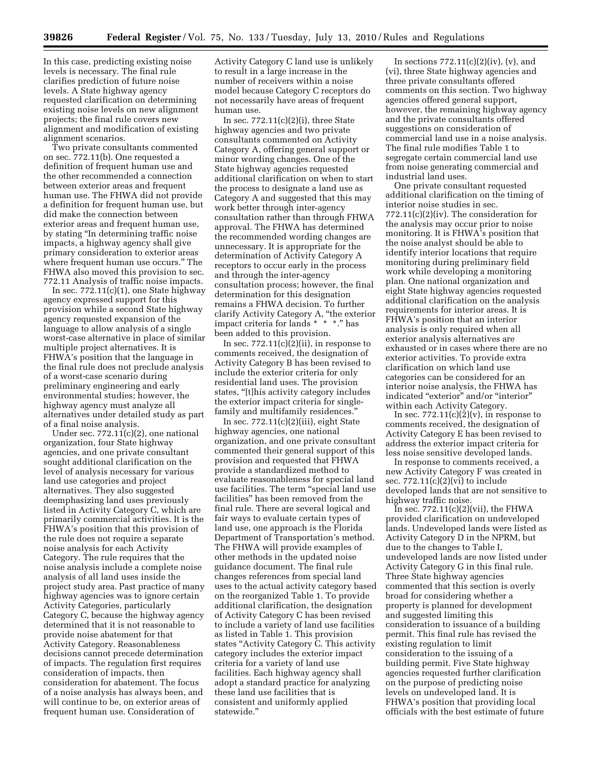In this case, predicting existing noise levels is necessary. The final rule clarifies prediction of future noise levels. A State highway agency requested clarification on determining existing noise levels on new alignment projects; the final rule covers new alignment and modification of existing alignment scenarios.

Two private consultants commented on sec. 772.11(b). One requested a definition of frequent human use and the other recommended a connection between exterior areas and frequent human use. The FHWA did not provide a definition for frequent human use, but did make the connection between exterior areas and frequent human use, by stating ''In determining traffic noise impacts, a highway agency shall give primary consideration to exterior areas where frequent human use occurs.'' The FHWA also moved this provision to sec. 772.11 Analysis of traffic noise impacts.

In sec.  $772.11(c)(1)$ , one State highway agency expressed support for this provision while a second State highway agency requested expansion of the language to allow analysis of a single worst-case alternative in place of similar multiple project alternatives. It is FHWA's position that the language in the final rule does not preclude analysis of a worst-case scenario during preliminary engineering and early environmental studies; however, the highway agency must analyze all alternatives under detailed study as part of a final noise analysis.

Under sec. 772.11(c)(2), one national organization, four State highway agencies, and one private consultant sought additional clarification on the level of analysis necessary for various land use categories and project alternatives. They also suggested deemphasizing land uses previously listed in Activity Category C, which are primarily commercial activities. It is the FHWA's position that this provision of the rule does not require a separate noise analysis for each Activity Category. The rule requires that the noise analysis include a complete noise analysis of all land uses inside the project study area. Past practice of many highway agencies was to ignore certain Activity Categories, particularly Category C, because the highway agency determined that it is not reasonable to provide noise abatement for that Activity Category. Reasonableness decisions cannot precede determination of impacts. The regulation first requires consideration of impacts, then consideration for abatement. The focus of a noise analysis has always been, and will continue to be, on exterior areas of frequent human use. Consideration of

Activity Category C land use is unlikely to result in a large increase in the number of receivers within a noise model because Category C receptors do not necessarily have areas of frequent human use.

In sec.  $772.11(c)(2)(i)$ , three State highway agencies and two private consultants commented on Activity Category A, offering general support or minor wording changes. One of the State highway agencies requested additional clarification on when to start the process to designate a land use as Category A and suggested that this may work better through inter-agency consultation rather than through FHWA approval. The FHWA has determined the recommended wording changes are unnecessary. It is appropriate for the determination of Activity Category A receptors to occur early in the process and through the inter-agency consultation process; however, the final determination for this designation remains a FHWA decision. To further clarify Activity Category A, ''the exterior impact criteria for lands \* \* \*.'' has been added to this provision.

In sec.  $772.11(c)(2)(ii)$ , in response to comments received, the designation of Activity Category B has been revised to include the exterior criteria for only residential land uses. The provision states, "[t]his activity category includes the exterior impact criteria for singlefamily and multifamily residences.''

In sec.  $772.11(c)(2)(iii)$ , eight State highway agencies, one national organization, and one private consultant commented their general support of this provision and requested that FHWA provide a standardized method to evaluate reasonableness for special land use facilities. The term ''special land use facilities'' has been removed from the final rule. There are several logical and fair ways to evaluate certain types of land use, one approach is the Florida Department of Transportation's method. The FHWA will provide examples of other methods in the updated noise guidance document. The final rule changes references from special land uses to the actual activity category based on the reorganized Table 1. To provide additional clarification, the designation of Activity Category C has been revised to include a variety of land use facilities as listed in Table 1. This provision states "Activity Category C. This activity category includes the exterior impact criteria for a variety of land use facilities. Each highway agency shall adopt a standard practice for analyzing these land use facilities that is consistent and uniformly applied statewide.''

In sections  $772.11(c)(2)(iv)$ ,  $(v)$ , and (vi), three State highway agencies and three private consultants offered comments on this section. Two highway agencies offered general support, however, the remaining highway agency and the private consultants offered suggestions on consideration of commercial land use in a noise analysis. The final rule modifies Table 1 to segregate certain commercial land use from noise generating commercial and industrial land uses.

One private consultant requested additional clarification on the timing of interior noise studies in sec. 772.11(c)(2)(iv). The consideration for the analysis may occur prior to noise monitoring. It is FHWA's position that the noise analyst should be able to identify interior locations that require monitoring during preliminary field work while developing a monitoring plan. One national organization and eight State highway agencies requested additional clarification on the analysis requirements for interior areas. It is FHWA's position that an interior analysis is only required when all exterior analysis alternatives are exhausted or in cases where there are no exterior activities. To provide extra clarification on which land use categories can be considered for an interior noise analysis, the FHWA has indicated "exterior" and/or "interior" within each Activity Category.

In sec.  $772.11(c)(2)(v)$ , in response to comments received, the designation of Activity Category E has been revised to address the exterior impact criteria for less noise sensitive developed lands.

In response to comments received, a new Activity Category F was created in sec. 772.11(c)(2)(vi) to include developed lands that are not sensitive to highway traffic noise.

In sec.  $772.11(c)(2)(vii)$ , the FHWA provided clarification on undeveloped lands. Undeveloped lands were listed as Activity Category D in the NPRM, but due to the changes to Table I, undeveloped lands are now listed under Activity Category G in this final rule. Three State highway agencies commented that this section is overly broad for considering whether a property is planned for development and suggested limiting this consideration to issuance of a building permit. This final rule has revised the existing regulation to limit consideration to the issuing of a building permit. Five State highway agencies requested further clarification on the purpose of predicting noise levels on undeveloped land. It is FHWA's position that providing local officials with the best estimate of future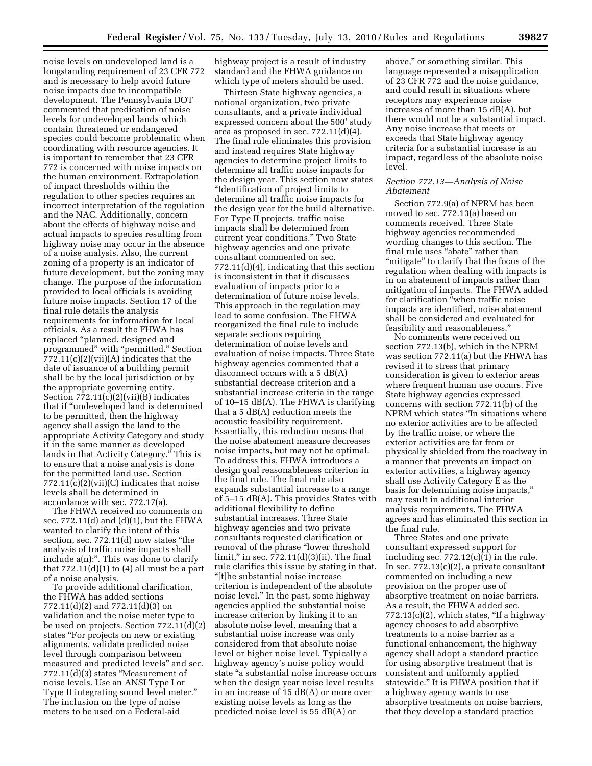noise levels on undeveloped land is a longstanding requirement of 23 CFR 772 and is necessary to help avoid future noise impacts due to incompatible development. The Pennsylvania DOT commented that predication of noise levels for undeveloped lands which contain threatened or endangered species could become problematic when coordinating with resource agencies. It is important to remember that 23 CFR 772 is concerned with noise impacts on the human environment. Extrapolation of impact thresholds within the regulation to other species requires an incorrect interpretation of the regulation and the NAC. Additionally, concern about the effects of highway noise and actual impacts to species resulting from highway noise may occur in the absence of a noise analysis. Also, the current zoning of a property is an indicator of future development, but the zoning may change. The purpose of the information provided to local officials is avoiding future noise impacts. Section 17 of the final rule details the analysis requirements for information for local officials. As a result the FHWA has replaced ''planned, designed and programmed'' with ''permitted.'' Section 772.11(c)(2)(vii)(A) indicates that the date of issuance of a building permit shall be by the local jurisdiction or by the appropriate governing entity. Section 772.11(c)(2)(vii)(B) indicates that if ''undeveloped land is determined to be permitted, then the highway agency shall assign the land to the appropriate Activity Category and study it in the same manner as developed lands in that Activity Category.'' This is to ensure that a noise analysis is done for the permitted land use. Section  $772.11(c)(2)(vii)(C)$  indicates that noise levels shall be determined in accordance with sec. 772.17(a).

The FHWA received no comments on sec.  $772.11(d)$  and  $(d)(1)$ , but the FHWA wanted to clarify the intent of this section, sec. 772.11(d) now states "the analysis of traffic noise impacts shall include a(n):". This was done to clarify that  $772.11(d)(1)$  to  $(4)$  all must be a part of a noise analysis.

To provide additional clarification, the FHWA has added sections 772.11(d)(2) and 772.11(d)(3) on validation and the noise meter type to be used on projects. Section 772.11(d)(2) states ''For projects on new or existing alignments, validate predicted noise level through comparison between measured and predicted levels'' and sec. 772.11(d)(3) states ''Measurement of noise levels. Use an ANSI Type I or Type II integrating sound level meter.'' The inclusion on the type of noise meters to be used on a Federal-aid

highway project is a result of industry standard and the FHWA guidance on which type of meters should be used.

Thirteen State highway agencies, a national organization, two private consultants, and a private individual expressed concern about the 500' study area as proposed in sec.  $772.11(d)(4)$ . The final rule eliminates this provision and instead requires State highway agencies to determine project limits to determine all traffic noise impacts for the design year. This section now states ''Identification of project limits to determine all traffic noise impacts for the design year for the build alternative. For Type II projects, traffic noise impacts shall be determined from current year conditions.'' Two State highway agencies and one private consultant commented on sec. 772.11(d)(4), indicating that this section is inconsistent in that it discusses evaluation of impacts prior to a determination of future noise levels. This approach in the regulation may lead to some confusion. The FHWA reorganized the final rule to include separate sections requiring determination of noise levels and evaluation of noise impacts. Three State highway agencies commented that a disconnect occurs with a 5 dB(A) substantial decrease criterion and a substantial increase criteria in the range of 10–15 dB(A). The FHWA is clarifying that a 5 dB(A) reduction meets the acoustic feasibility requirement. Essentially, this reduction means that the noise abatement measure decreases noise impacts, but may not be optimal. To address this, FHWA introduces a design goal reasonableness criterion in the final rule. The final rule also expands substantial increase to a range of 5–15 dB(A). This provides States with additional flexibility to define substantial increases. Three State highway agencies and two private consultants requested clarification or removal of the phrase ''lower threshold limit,'' in sec. 772.11(d)(3)(ii). The final rule clarifies this issue by stating in that, ''[t]he substantial noise increase criterion is independent of the absolute noise level.'' In the past, some highway agencies applied the substantial noise increase criterion by linking it to an absolute noise level, meaning that a substantial noise increase was only considered from that absolute noise level or higher noise level. Typically a highway agency's noise policy would state ''a substantial noise increase occurs when the design year noise level results in an increase of 15 dB(A) or more over existing noise levels as long as the predicted noise level is 55 dB(A) or

above,'' or something similar. This language represented a misapplication of 23 CFR 772 and the noise guidance, and could result in situations where receptors may experience noise increases of more than 15 dB(A), but there would not be a substantial impact. Any noise increase that meets or exceeds that State highway agency criteria for a substantial increase is an impact, regardless of the absolute noise level.

### *Section 772.13—Analysis of Noise Abatement*

Section 772.9(a) of NPRM has been moved to sec. 772.13(a) based on comments received. Three State highway agencies recommended wording changes to this section. The final rule uses "abate" rather than ''mitigate'' to clarify that the focus of the regulation when dealing with impacts is in on abatement of impacts rather than mitigation of impacts. The FHWA added for clarification ''when traffic noise impacts are identified, noise abatement shall be considered and evaluated for feasibility and reasonableness.''

No comments were received on section 772.13(b), which in the NPRM was section 772.11(a) but the FHWA has revised it to stress that primary consideration is given to exterior areas where frequent human use occurs. Five State highway agencies expressed concerns with section 772.11(b) of the NPRM which states ''In situations where no exterior activities are to be affected by the traffic noise, or where the exterior activities are far from or physically shielded from the roadway in a manner that prevents an impact on exterior activities, a highway agency shall use Activity Category E as the basis for determining noise impacts,'' may result in additional interior analysis requirements. The FHWA agrees and has eliminated this section in the final rule.

Three States and one private consultant expressed support for including sec.  $772.12(c)(1)$  in the rule. In sec. 772.13(c)(2), a private consultant commented on including a new provision on the proper use of absorptive treatment on noise barriers. As a result, the FHWA added sec.  $772.13(c)(2)$ , which states, "If a highway" agency chooses to add absorptive treatments to a noise barrier as a functional enhancement, the highway agency shall adopt a standard practice for using absorptive treatment that is consistent and uniformly applied statewide.'' It is FHWA position that if a highway agency wants to use absorptive treatments on noise barriers, that they develop a standard practice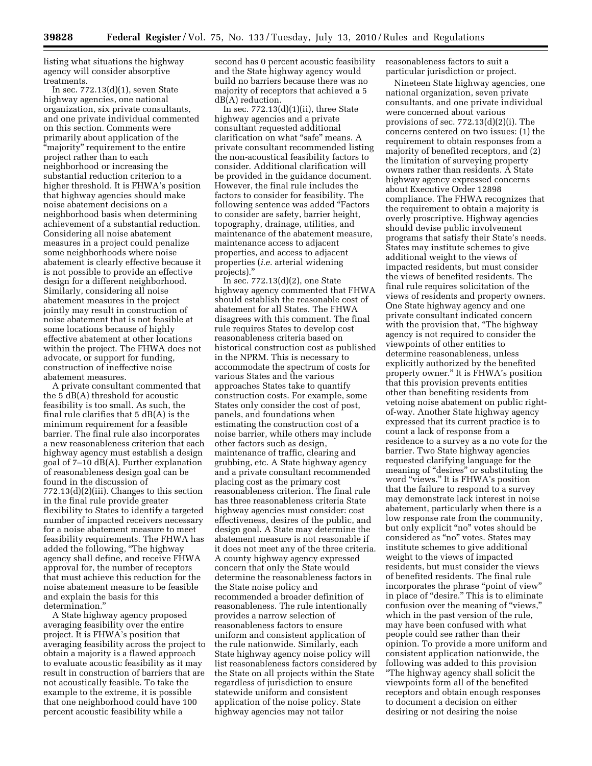listing what situations the highway agency will consider absorptive treatments.

In sec. 772.13(d)(1), seven State highway agencies, one national organization, six private consultants, and one private individual commented on this section. Comments were primarily about application of the ''majority'' requirement to the entire project rather than to each neighborhood or increasing the substantial reduction criterion to a higher threshold. It is FHWA's position that highway agencies should make noise abatement decisions on a neighborhood basis when determining achievement of a substantial reduction. Considering all noise abatement measures in a project could penalize some neighborhoods where noise abatement is clearly effective because it is not possible to provide an effective design for a different neighborhood. Similarly, considering all noise abatement measures in the project jointly may result in construction of noise abatement that is not feasible at some locations because of highly effective abatement at other locations within the project. The FHWA does not advocate, or support for funding, construction of ineffective noise abatement measures.

A private consultant commented that the 5 dB(A) threshold for acoustic feasibility is too small. As such, the final rule clarifies that 5 dB(A) is the minimum requirement for a feasible barrier. The final rule also incorporates a new reasonableness criterion that each highway agency must establish a design goal of 7–10 dB(A). Further explanation of reasonableness design goal can be found in the discussion of 772.13(d)(2)(iii). Changes to this section in the final rule provide greater flexibility to States to identify a targeted number of impacted receivers necessary for a noise abatement measure to meet feasibility requirements. The FHWA has added the following, ''The highway agency shall define, and receive FHWA approval for, the number of receptors that must achieve this reduction for the noise abatement measure to be feasible and explain the basis for this determination.''

A State highway agency proposed averaging feasibility over the entire project. It is FHWA's position that averaging feasibility across the project to obtain a majority is a flawed approach to evaluate acoustic feasibility as it may result in construction of barriers that are not acoustically feasible. To take the example to the extreme, it is possible that one neighborhood could have 100 percent acoustic feasibility while a

second has 0 percent acoustic feasibility and the State highway agency would build no barriers because there was no majority of receptors that achieved a 5 dB(A) reduction.

In sec. 772.13(d)(1)(ii), three State highway agencies and a private consultant requested additional clarification on what "safe" means. A private consultant recommended listing the non-acoustical feasibility factors to consider. Additional clarification will be provided in the guidance document. However, the final rule includes the factors to consider for feasibility. The following sentence was added ''Factors to consider are safety, barrier height, topography, drainage, utilities, and maintenance of the abatement measure, maintenance access to adjacent properties, and access to adjacent properties (*i.e.* arterial widening projects).''

In sec.  $772.13(d)(2)$ , one State highway agency commented that FHWA should establish the reasonable cost of abatement for all States. The FHWA disagrees with this comment. The final rule requires States to develop cost reasonableness criteria based on historical construction cost as published in the NPRM. This is necessary to accommodate the spectrum of costs for various States and the various approaches States take to quantify construction costs. For example, some States only consider the cost of post, panels, and foundations when estimating the construction cost of a noise barrier, while others may include other factors such as design, maintenance of traffic, clearing and grubbing, etc. A State highway agency and a private consultant recommended placing cost as the primary cost reasonableness criterion. The final rule has three reasonableness criteria State highway agencies must consider: cost effectiveness, desires of the public, and design goal. A State may determine the abatement measure is not reasonable if it does not meet any of the three criteria. A county highway agency expressed concern that only the State would determine the reasonableness factors in the State noise policy and recommended a broader definition of reasonableness. The rule intentionally provides a narrow selection of reasonableness factors to ensure uniform and consistent application of the rule nationwide. Similarly, each State highway agency noise policy will list reasonableness factors considered by the State on all projects within the State regardless of jurisdiction to ensure statewide uniform and consistent application of the noise policy. State highway agencies may not tailor

reasonableness factors to suit a particular jurisdiction or project.

Nineteen State highway agencies, one national organization, seven private consultants, and one private individual were concerned about various provisions of sec. 772.13(d)(2)(i). The concerns centered on two issues: (1) the requirement to obtain responses from a majority of benefited receptors, and (2) the limitation of surveying property owners rather than residents. A State highway agency expressed concerns about Executive Order 12898 compliance. The FHWA recognizes that the requirement to obtain a majority is overly proscriptive. Highway agencies should devise public involvement programs that satisfy their State's needs. States may institute schemes to give additional weight to the views of impacted residents, but must consider the views of benefited residents. The final rule requires solicitation of the views of residents and property owners. One State highway agency and one private consultant indicated concern with the provision that, "The highway agency is not required to consider the viewpoints of other entities to determine reasonableness, unless explicitly authorized by the benefited property owner.'' It is FHWA's position that this provision prevents entities other than benefiting residents from vetoing noise abatement on public rightof-way. Another State highway agency expressed that its current practice is to count a lack of response from a residence to a survey as a no vote for the barrier. Two State highway agencies requested clarifying language for the meaning of "desires" or substituting the word "views." It is FHWA's position that the failure to respond to a survey may demonstrate lack interest in noise abatement, particularly when there is a low response rate from the community, but only explicit ''no'' votes should be considered as "no" votes. States may institute schemes to give additional weight to the views of impacted residents, but must consider the views of benefited residents. The final rule incorporates the phrase ''point of view'' in place of "desire." This is to eliminate confusion over the meaning of "views," which in the past version of the rule, may have been confused with what people could see rather than their opinion. To provide a more uniform and consistent application nationwide, the following was added to this provision ''The highway agency shall solicit the viewpoints form all of the benefited receptors and obtain enough responses to document a decision on either desiring or not desiring the noise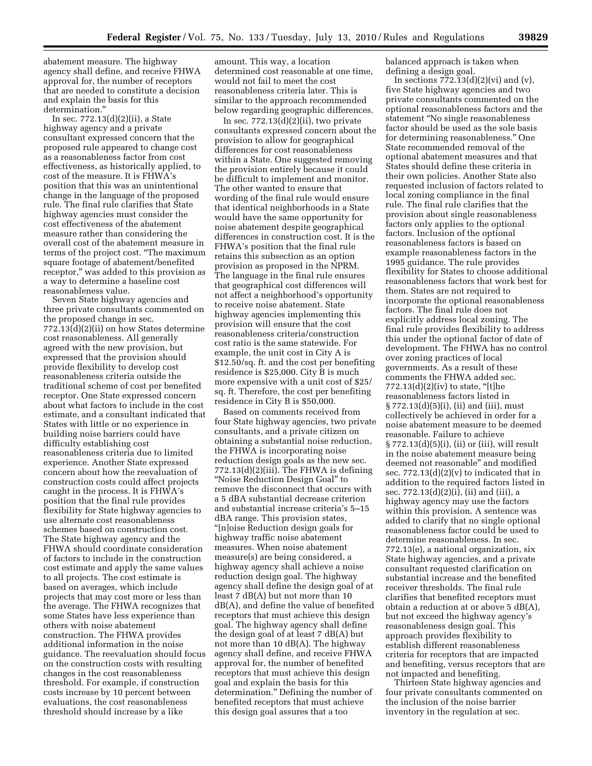abatement measure. The highway agency shall define, and receive FHWA approval for, the number of receptors that are needed to constitute a decision and explain the basis for this determination.''

In sec. 772.13(d)(2)(ii), a State highway agency and a private consultant expressed concern that the proposed rule appeared to change cost as a reasonableness factor from cost effectiveness, as historically applied, to cost of the measure. It is FHWA's position that this was an unintentional change in the language of the proposed rule. The final rule clarifies that State highway agencies must consider the cost effectiveness of the abatement measure rather than considering the overall cost of the abatement measure in terms of the project cost. ''The maximum square footage of abatement/benefited receptor," was added to this provision as a way to determine a baseline cost reasonableness value.

Seven State highway agencies and three private consultants commented on the proposed change in sec. 772.13(d)(2)(ii) on how States determine cost reasonableness. All generally agreed with the new provision, but expressed that the provision should provide flexibility to develop cost reasonableness criteria outside the traditional scheme of cost per benefited receptor. One State expressed concern about what factors to include in the cost estimate, and a consultant indicated that States with little or no experience in building noise barriers could have difficulty establishing cost reasonableness criteria due to limited experience. Another State expressed concern about how the reevaluation of construction costs could affect projects caught in the process. It is FHWA's position that the final rule provides flexibility for State highway agencies to use alternate cost reasonableness schemes based on construction cost. The State highway agency and the FHWA should coordinate consideration of factors to include in the construction cost estimate and apply the same values to all projects. The cost estimate is based on averages, which include projects that may cost more or less than the average. The FHWA recognizes that some States have less experience than others with noise abatement construction. The FHWA provides additional information in the noise guidance. The reevaluation should focus on the construction costs with resulting changes in the cost reasonableness threshold. For example, if construction costs increase by 10 percent between evaluations, the cost reasonableness threshold should increase by a like

amount. This way, a location determined cost reasonable at one time, would not fail to meet the cost reasonableness criteria later. This is similar to the approach recommended below regarding geographic differences.

In sec.  $772.13(d)(2)(ii)$ , two private consultants expressed concern about the provision to allow for geographical differences for cost reasonableness within a State. One suggested removing the provision entirely because it could be difficult to implement and monitor. The other wanted to ensure that wording of the final rule would ensure that identical neighborhoods in a State would have the same opportunity for noise abatement despite geographical differences in construction cost. It is the FHWA's position that the final rule retains this subsection as an option provision as proposed in the NPRM. The language in the final rule ensures that geographical cost differences will not affect a neighborhood's opportunity to receive noise abatement. State highway agencies implementing this provision will ensure that the cost reasonableness criteria/construction cost ratio is the same statewide. For example, the unit cost in City A is \$12.50/sq. ft. and the cost per benefiting residence is \$25,000. City B is much more expensive with a unit cost of \$25/ sq. ft. Therefore, the cost per benefiting residence in City B is \$50,000.

Based on comments received from four State highway agencies, two private consultants, and a private citizen on obtaining a substantial noise reduction, the FHWA is incorporating noise reduction design goals as the new sec.  $772.13(d)(2)(iii)$ . The FHWA is defining ''Noise Reduction Design Goal'' to remove the disconnect that occurs with a 5 dBA substantial decrease criterion and substantial increase criteria's 5–15 dBA range. This provision states, ''[n]oise Reduction design goals for highway traffic noise abatement measures. When noise abatement measure(s) are being considered, a highway agency shall achieve a noise reduction design goal. The highway agency shall define the design goal of at least 7 dB(A) but not more than 10 dB(A), and define the value of benefited receptors that must achieve this design goal. The highway agency shall define the design goal of at least 7 dB(A) but not more than 10 dB(A). The highway agency shall define, and receive FHWA approval for, the number of benefited receptors that must achieve this design goal and explain the basis for this determination.'' Defining the number of benefited receptors that must achieve this design goal assures that a too

balanced approach is taken when defining a design goal.

In sections  $7\overline{7}2.13(d)(2)(vi)$  and  $(v)$ , five State highway agencies and two private consultants commented on the optional reasonableness factors and the statement ''No single reasonableness factor should be used as the sole basis for determining reasonableness.'' One State recommended removal of the optional abatement measures and that States should define these criteria in their own policies. Another State also requested inclusion of factors related to local zoning compliance in the final rule. The final rule clarifies that the provision about single reasonableness factors only applies to the optional factors. Inclusion of the optional reasonableness factors is based on example reasonableness factors in the 1995 guidance. The rule provides flexibility for States to choose additional reasonableness factors that work best for them. States are not required to incorporate the optional reasonableness factors. The final rule does not explicitly address local zoning. The final rule provides flexibility to address this under the optional factor of date of development. The FHWA has no control over zoning practices of local governments. As a result of these comments the FHWA added sec.  $772.13(d)(2)(iv)$  to state, "[t]he reasonableness factors listed in § 772.13(d)(5)(i), (ii) and (iii), must collectively be achieved in order for a noise abatement measure to be deemed reasonable. Failure to achieve § 772.13(d)(5)(i), (ii) or (iii), will result in the noise abatement measure being deemed not reasonable'' and modified sec.  $772.13(d)(2)(v)$  to indicated that in addition to the required factors listed in sec. 772.13(d)(2)(i), (ii) and (iii), a highway agency may use the factors within this provision. A sentence was added to clarify that no single optional reasonableness factor could be used to determine reasonableness. In sec. 772.13(e), a national organization, six State highway agencies, and a private consultant requested clarification on substantial increase and the benefited receiver thresholds. The final rule clarifies that benefited receptors must obtain a reduction at or above 5 dB(A), but not exceed the highway agency's reasonableness design goal. This approach provides flexibility to establish different reasonableness criteria for receptors that are impacted and benefiting, versus receptors that are not impacted and benefiting.

Thirteen State highway agencies and four private consultants commented on the inclusion of the noise barrier inventory in the regulation at sec.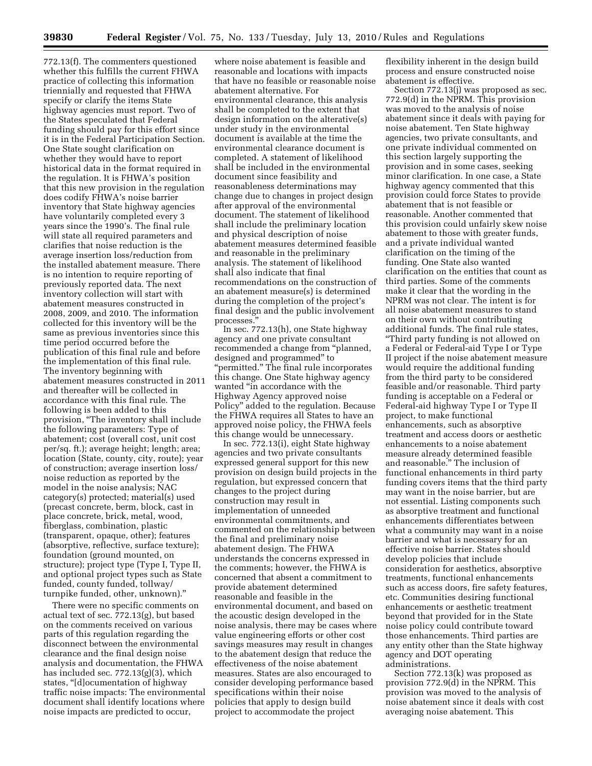772.13(f). The commenters questioned whether this fulfills the current FHWA practice of collecting this information triennially and requested that FHWA specify or clarify the items State highway agencies must report. Two of the States speculated that Federal funding should pay for this effort since it is in the Federal Participation Section. One State sought clarification on whether they would have to report historical data in the format required in the regulation. It is FHWA's position that this new provision in the regulation does codify FHWA's noise barrier inventory that State highway agencies have voluntarily completed every 3 years since the 1990's. The final rule will state all required parameters and clarifies that noise reduction is the average insertion loss/reduction from the installed abatement measure. There is no intention to require reporting of previously reported data. The next inventory collection will start with abatement measures constructed in 2008, 2009, and 2010. The information collected for this inventory will be the same as previous inventories since this time period occurred before the publication of this final rule and before the implementation of this final rule. The inventory beginning with abatement measures constructed in 2011 and thereafter will be collected in accordance with this final rule. The following is been added to this provision, "The inventory shall include the following parameters: Type of abatement; cost (overall cost, unit cost per/sq. ft.); average height; length; area; location (State, county, city, route); year of construction; average insertion loss/ noise reduction as reported by the model in the noise analysis; NAC category(s) protected; material(s) used (precast concrete, berm, block, cast in place concrete, brick, metal, wood, fiberglass, combination, plastic (transparent, opaque, other); features (absorptive, reflective, surface texture); foundation (ground mounted, on structure); project type (Type I, Type II, and optional project types such as State funded, county funded, tollway/ turnpike funded, other, unknown).''

There were no specific comments on actual text of sec. 772.13(g), but based on the comments received on various parts of this regulation regarding the disconnect between the environmental clearance and the final design noise analysis and documentation, the FHWA has included sec. 772.13(g)(3), which states, "[d]ocumentation of highway traffic noise impacts: The environmental document shall identify locations where noise impacts are predicted to occur,

where noise abatement is feasible and reasonable and locations with impacts that have no feasible or reasonable noise abatement alternative. For environmental clearance, this analysis shall be completed to the extent that design information on the alterative(s) under study in the environmental document is available at the time the environmental clearance document is completed. A statement of likelihood shall be included in the environmental document since feasibility and reasonableness determinations may change due to changes in project design after approval of the environmental document. The statement of likelihood shall include the preliminary location and physical description of noise abatement measures determined feasible and reasonable in the preliminary analysis. The statement of likelihood shall also indicate that final recommendations on the construction of an abatement measure(s) is determined during the completion of the project's final design and the public involvement processes.''

In sec. 772.13(h), one State highway agency and one private consultant recommended a change from ''planned, designed and programmed'' to ''permitted.'' The final rule incorporates this change. One State highway agency wanted ''in accordance with the Highway Agency approved noise Policy'' added to the regulation. Because the FHWA requires all States to have an approved noise policy, the FHWA feels this change would be unnecessary.

In sec. 772.13(i), eight State highway agencies and two private consultants expressed general support for this new provision on design build projects in the regulation, but expressed concern that changes to the project during construction may result in implementation of unneeded environmental commitments, and commented on the relationship between the final and preliminary noise abatement design. The FHWA understands the concerns expressed in the comments; however, the FHWA is concerned that absent a commitment to provide abatement determined reasonable and feasible in the environmental document, and based on the acoustic design developed in the noise analysis, there may be cases where value engineering efforts or other cost savings measures may result in changes to the abatement design that reduce the effectiveness of the noise abatement measures. States are also encouraged to consider developing performance based specifications within their noise policies that apply to design build project to accommodate the project

flexibility inherent in the design build process and ensure constructed noise abatement is effective.

Section 772.13(j) was proposed as sec. 772.9(d) in the NPRM. This provision was moved to the analysis of noise abatement since it deals with paying for noise abatement. Ten State highway agencies, two private consultants, and one private individual commented on this section largely supporting the provision and in some cases, seeking minor clarification. In one case, a State highway agency commented that this provision could force States to provide abatement that is not feasible or reasonable. Another commented that this provision could unfairly skew noise abatement to those with greater funds, and a private individual wanted clarification on the timing of the funding. One State also wanted clarification on the entities that count as third parties. Some of the comments make it clear that the wording in the NPRM was not clear. The intent is for all noise abatement measures to stand on their own without contributing additional funds. The final rule states, ''Third party funding is not allowed on a Federal or Federal-aid Type I or Type II project if the noise abatement measure would require the additional funding from the third party to be considered feasible and/or reasonable. Third party funding is acceptable on a Federal or Federal-aid highway Type I or Type II project, to make functional enhancements, such as absorptive treatment and access doors or aesthetic enhancements to a noise abatement measure already determined feasible and reasonable.'' The inclusion of functional enhancements in third party funding covers items that the third party may want in the noise barrier, but are not essential. Listing components such as absorptive treatment and functional enhancements differentiates between what a community may want in a noise barrier and what is necessary for an effective noise barrier. States should develop policies that include consideration for aesthetics, absorptive treatments, functional enhancements such as access doors, fire safety features, etc. Communities desiring functional enhancements or aesthetic treatment beyond that provided for in the State noise policy could contribute toward those enhancements. Third parties are any entity other than the State highway agency and DOT operating administrations.

Section 772.13(k) was proposed as provision 772.9(d) in the NPRM. This provision was moved to the analysis of noise abatement since it deals with cost averaging noise abatement. This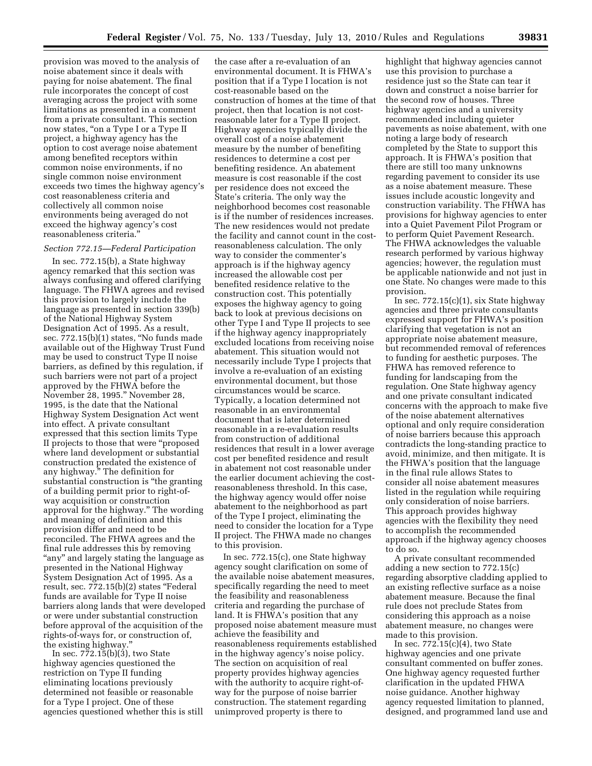provision was moved to the analysis of noise abatement since it deals with paying for noise abatement. The final rule incorporates the concept of cost averaging across the project with some limitations as presented in a comment from a private consultant. This section now states, "on a Type I or a Type II project, a highway agency has the option to cost average noise abatement among benefited receptors within common noise environments, if no single common noise environment exceeds two times the highway agency's cost reasonableness criteria and collectively all common noise environments being averaged do not exceed the highway agency's cost reasonableness criteria.''

#### *Section 772.15—Federal Participation*

In sec. 772.15(b), a State highway agency remarked that this section was always confusing and offered clarifying language. The FHWA agrees and revised this provision to largely include the language as presented in section 339(b) of the National Highway System Designation Act of 1995. As a result, sec. 772.15(b)(1) states, "No funds made available out of the Highway Trust Fund may be used to construct Type II noise barriers, as defined by this regulation, if such barriers were not part of a project approved by the FHWA before the November 28, 1995.'' November 28, 1995, is the date that the National Highway System Designation Act went into effect. A private consultant expressed that this section limits Type II projects to those that were ''proposed where land development or substantial construction predated the existence of any highway.'' The definition for substantial construction is ''the granting of a building permit prior to right-ofway acquisition or construction approval for the highway.'' The wording and meaning of definition and this provision differ and need to be reconciled. The FHWA agrees and the final rule addresses this by removing "any" and largely stating the language as presented in the National Highway System Designation Act of 1995. As a result, sec. 772.15(b)(2) states ''Federal funds are available for Type II noise barriers along lands that were developed or were under substantial construction before approval of the acquisition of the rights-of-ways for, or construction of, the existing highway.''

In sec.  $772.15(b)(3)$ , two State highway agencies questioned the restriction on Type II funding eliminating locations previously determined not feasible or reasonable for a Type I project. One of these agencies questioned whether this is still

the case after a re-evaluation of an environmental document. It is FHWA's position that if a Type I location is not cost-reasonable based on the construction of homes at the time of that project, then that location is not costreasonable later for a Type II project. Highway agencies typically divide the overall cost of a noise abatement measure by the number of benefiting residences to determine a cost per benefiting residence. An abatement measure is cost reasonable if the cost per residence does not exceed the State's criteria. The only way the neighborhood becomes cost reasonable is if the number of residences increases. The new residences would not predate the facility and cannot count in the costreasonableness calculation. The only way to consider the commenter's approach is if the highway agency increased the allowable cost per benefited residence relative to the construction cost. This potentially exposes the highway agency to going back to look at previous decisions on other Type I and Type II projects to see if the highway agency inappropriately excluded locations from receiving noise abatement. This situation would not necessarily include Type I projects that involve a re-evaluation of an existing environmental document, but those circumstances would be scarce. Typically, a location determined not reasonable in an environmental document that is later determined reasonable in a re-evaluation results from construction of additional residences that result in a lower average cost per benefited residence and result in abatement not cost reasonable under the earlier document achieving the costreasonableness threshold. In this case, the highway agency would offer noise abatement to the neighborhood as part of the Type I project, eliminating the need to consider the location for a Type II project. The FHWA made no changes to this provision.

In sec. 772.15(c), one State highway agency sought clarification on some of the available noise abatement measures, specifically regarding the need to meet the feasibility and reasonableness criteria and regarding the purchase of land. It is FHWA's position that any proposed noise abatement measure must achieve the feasibility and reasonableness requirements established in the highway agency's noise policy. The section on acquisition of real property provides highway agencies with the authority to acquire right-ofway for the purpose of noise barrier construction. The statement regarding unimproved property is there to

highlight that highway agencies cannot use this provision to purchase a residence just so the State can tear it down and construct a noise barrier for the second row of houses. Three highway agencies and a university recommended including quieter pavements as noise abatement, with one noting a large body of research completed by the State to support this approach. It is FHWA's position that there are still too many unknowns regarding pavement to consider its use as a noise abatement measure. These issues include acoustic longevity and construction variability. The FHWA has provisions for highway agencies to enter into a Quiet Pavement Pilot Program or to perform Quiet Pavement Research. The FHWA acknowledges the valuable research performed by various highway agencies; however, the regulation must be applicable nationwide and not just in one State. No changes were made to this provision.

In sec.  $772.15(c)(1)$ , six State highway agencies and three private consultants expressed support for FHWA's position clarifying that vegetation is not an appropriate noise abatement measure, but recommended removal of references to funding for aesthetic purposes. The FHWA has removed reference to funding for landscaping from the regulation. One State highway agency and one private consultant indicated concerns with the approach to make five of the noise abatement alternatives optional and only require consideration of noise barriers because this approach contradicts the long-standing practice to avoid, minimize, and then mitigate. It is the FHWA's position that the language in the final rule allows States to consider all noise abatement measures listed in the regulation while requiring only consideration of noise barriers. This approach provides highway agencies with the flexibility they need to accomplish the recommended approach if the highway agency chooses to do so.

A private consultant recommended adding a new section to 772.15(c) regarding absorptive cladding applied to an existing reflective surface as a noise abatement measure. Because the final rule does not preclude States from considering this approach as a noise abatement measure, no changes were made to this provision.

In sec. 772.15(c)(4), two State highway agencies and one private consultant commented on buffer zones. One highway agency requested further clarification in the updated FHWA noise guidance. Another highway agency requested limitation to planned, designed, and programmed land use and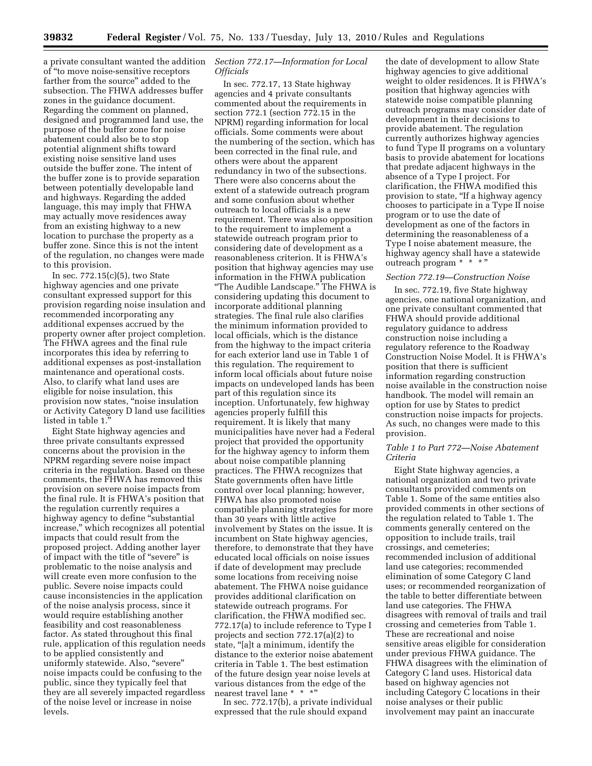a private consultant wanted the addition of ''to move noise-sensitive receptors farther from the source'' added to the subsection. The FHWA addresses buffer zones in the guidance document. Regarding the comment on planned, designed and programmed land use, the purpose of the buffer zone for noise abatement could also be to stop potential alignment shifts toward existing noise sensitive land uses outside the buffer zone. The intent of the buffer zone is to provide separation between potentially developable land and highways. Regarding the added language, this may imply that FHWA may actually move residences away from an existing highway to a new location to purchase the property as a buffer zone. Since this is not the intent of the regulation, no changes were made to this provision.

In sec. 772.15(c)(5), two State highway agencies and one private consultant expressed support for this provision regarding noise insulation and recommended incorporating any additional expenses accrued by the property owner after project completion. The FHWA agrees and the final rule incorporates this idea by referring to additional expenses as post-installation maintenance and operational costs. Also, to clarify what land uses are eligible for noise insulation, this provision now states, ''noise insulation or Activity Category D land use facilities listed in table 1.''

Eight State highway agencies and three private consultants expressed concerns about the provision in the NPRM regarding severe noise impact criteria in the regulation. Based on these comments, the FHWA has removed this provision on severe noise impacts from the final rule. It is FHWA's position that the regulation currently requires a highway agency to define ''substantial increase,'' which recognizes all potential impacts that could result from the proposed project. Adding another layer of impact with the title of ''severe'' is problematic to the noise analysis and will create even more confusion to the public. Severe noise impacts could cause inconsistencies in the application of the noise analysis process, since it would require establishing another feasibility and cost reasonableness factor. As stated throughout this final rule, application of this regulation needs to be applied consistently and uniformly statewide. Also, ''severe'' noise impacts could be confusing to the public, since they typically feel that they are all severely impacted regardless of the noise level or increase in noise levels.

## *Section 772.17—Information for Local Officials*

In sec. 772.17, 13 State highway agencies and 4 private consultants commented about the requirements in section 772.1 (section 772.15 in the NPRM) regarding information for local officials. Some comments were about the numbering of the section, which has been corrected in the final rule, and others were about the apparent redundancy in two of the subsections. There were also concerns about the extent of a statewide outreach program and some confusion about whether outreach to local officials is a new requirement. There was also opposition to the requirement to implement a statewide outreach program prior to considering date of development as a reasonableness criterion. It is FHWA's position that highway agencies may use information in the FHWA publication ''The Audible Landscape.'' The FHWA is considering updating this document to incorporate additional planning strategies. The final rule also clarifies the minimum information provided to local officials, which is the distance from the highway to the impact criteria for each exterior land use in Table 1 of this regulation. The requirement to inform local officials about future noise impacts on undeveloped lands has been part of this regulation since its inception. Unfortunately, few highway agencies properly fulfill this requirement. It is likely that many municipalities have never had a Federal project that provided the opportunity for the highway agency to inform them about noise compatible planning practices. The FHWA recognizes that State governments often have little control over local planning; however, FHWA has also promoted noise compatible planning strategies for more than 30 years with little active involvement by States on the issue. It is incumbent on State highway agencies, therefore, to demonstrate that they have educated local officials on noise issues if date of development may preclude some locations from receiving noise abatement. The FHWA noise guidance provides additional clarification on statewide outreach programs. For clarification, the FHWA modified sec. 772.17(a) to include reference to Type I projects and section 772.17(a)(2) to state, ''[a]t a minimum, identify the distance to the exterior noise abatement criteria in Table 1. The best estimation of the future design year noise levels at various distances from the edge of the nearest travel lane \* \* \*"

In sec. 772.17(b), a private individual expressed that the rule should expand

the date of development to allow State highway agencies to give additional weight to older residences. It is FHWA's position that highway agencies with statewide noise compatible planning outreach programs may consider date of development in their decisions to provide abatement. The regulation currently authorizes highway agencies to fund Type II programs on a voluntary basis to provide abatement for locations that predate adjacent highways in the absence of a Type I project. For clarification, the FHWA modified this provision to state, ''If a highway agency chooses to participate in a Type II noise program or to use the date of development as one of the factors in determining the reasonableness of a Type I noise abatement measure, the highway agency shall have a statewide outreach program \* \* \* "

### *Section 772.19—Construction Noise*

In sec. 772.19, five State highway agencies, one national organization, and one private consultant commented that FHWA should provide additional regulatory guidance to address construction noise including a regulatory reference to the Roadway Construction Noise Model. It is FHWA's position that there is sufficient information regarding construction noise available in the construction noise handbook. The model will remain an option for use by States to predict construction noise impacts for projects. As such, no changes were made to this provision.

## *Table 1 to Part 772—Noise Abatement Criteria*

Eight State highway agencies, a national organization and two private consultants provided comments on Table 1. Some of the same entities also provided comments in other sections of the regulation related to Table 1. The comments generally centered on the opposition to include trails, trail crossings, and cemeteries; recommended inclusion of additional land use categories; recommended elimination of some Category C land uses; or recommended reorganization of the table to better differentiate between land use categories. The FHWA disagrees with removal of trails and trail crossing and cemeteries from Table 1. These are recreational and noise sensitive areas eligible for consideration under previous FHWA guidance. The FHWA disagrees with the elimination of Category C land uses. Historical data based on highway agencies not including Category C locations in their noise analyses or their public involvement may paint an inaccurate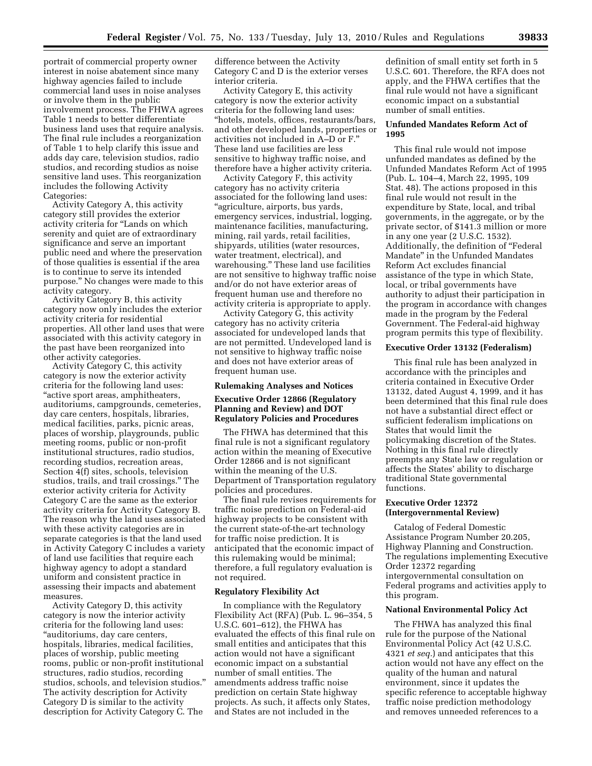portrait of commercial property owner interest in noise abatement since many highway agencies failed to include commercial land uses in noise analyses or involve them in the public involvement process. The FHWA agrees Table 1 needs to better differentiate business land uses that require analysis. The final rule includes a reorganization of Table 1 to help clarify this issue and adds day care, television studios, radio studios, and recording studios as noise sensitive land uses. This reorganization includes the following Activity Categories:

Activity Category A, this activity category still provides the exterior activity criteria for ''Lands on which serenity and quiet are of extraordinary significance and serve an important public need and where the preservation of those qualities is essential if the area is to continue to serve its intended purpose.'' No changes were made to this activity category.

Activity Category B, this activity category now only includes the exterior activity criteria for residential properties. All other land uses that were associated with this activity category in the past have been reorganized into other activity categories.

Activity Category C, this activity category is now the exterior activity criteria for the following land uses: ''active sport areas, amphitheaters, auditoriums, campgrounds, cemeteries, day care centers, hospitals, libraries, medical facilities, parks, picnic areas, places of worship, playgrounds, public meeting rooms, public or non-profit institutional structures, radio studios, recording studios, recreation areas, Section 4(f) sites, schools, television studios, trails, and trail crossings.'' The exterior activity criteria for Activity Category C are the same as the exterior activity criteria for Activity Category B. The reason why the land uses associated with these activity categories are in separate categories is that the land used in Activity Category C includes a variety of land use facilities that require each highway agency to adopt a standard uniform and consistent practice in assessing their impacts and abatement measures.

Activity Category D, this activity category is now the interior activity criteria for the following land uses: ''auditoriums, day care centers, hospitals, libraries, medical facilities, places of worship, public meeting rooms, public or non-profit institutional structures, radio studios, recording studios, schools, and television studios.'' The activity description for Activity Category D is similar to the activity description for Activity Category C. The

difference between the Activity Category C and D is the exterior verses interior criteria.

Activity Category E, this activity category is now the exterior activity criteria for the following land uses: ''hotels, motels, offices, restaurants/bars, and other developed lands, properties or activities not included in A–D or F.'' These land use facilities are less sensitive to highway traffic noise, and therefore have a higher activity criteria.

Activity Category F, this activity category has no activity criteria associated for the following land uses: ''agriculture, airports, bus yards, emergency services, industrial, logging, maintenance facilities, manufacturing, mining, rail yards, retail facilities, shipyards, utilities (water resources, water treatment, electrical), and warehousing.'' These land use facilities are not sensitive to highway traffic noise and/or do not have exterior areas of frequent human use and therefore no activity criteria is appropriate to apply.

Activity Category G, this activity category has no activity criteria associated for undeveloped lands that are not permitted. Undeveloped land is not sensitive to highway traffic noise and does not have exterior areas of frequent human use.

#### **Rulemaking Analyses and Notices**

## **Executive Order 12866 (Regulatory Planning and Review) and DOT Regulatory Policies and Procedures**

The FHWA has determined that this final rule is not a significant regulatory action within the meaning of Executive Order 12866 and is not significant within the meaning of the U.S. Department of Transportation regulatory policies and procedures.

The final rule revises requirements for traffic noise prediction on Federal-aid highway projects to be consistent with the current state-of-the-art technology for traffic noise prediction. It is anticipated that the economic impact of this rulemaking would be minimal; therefore, a full regulatory evaluation is not required.

### **Regulatory Flexibility Act**

In compliance with the Regulatory Flexibility Act (RFA) (Pub. L. 96–354, 5 U.S.C. 601–612), the FHWA has evaluated the effects of this final rule on small entities and anticipates that this action would not have a significant economic impact on a substantial number of small entities. The amendments address traffic noise prediction on certain State highway projects. As such, it affects only States, and States are not included in the

definition of small entity set forth in 5 U.S.C. 601. Therefore, the RFA does not apply, and the FHWA certifies that the final rule would not have a significant economic impact on a substantial number of small entities.

### **Unfunded Mandates Reform Act of 1995**

This final rule would not impose unfunded mandates as defined by the Unfunded Mandates Reform Act of 1995 (Pub. L. 104–4, March 22, 1995, 109 Stat. 48). The actions proposed in this final rule would not result in the expenditure by State, local, and tribal governments, in the aggregate, or by the private sector, of \$141.3 million or more in any one year (2 U.S.C. 1532). Additionally, the definition of ''Federal Mandate'' in the Unfunded Mandates Reform Act excludes financial assistance of the type in which State, local, or tribal governments have authority to adjust their participation in the program in accordance with changes made in the program by the Federal Government. The Federal-aid highway program permits this type of flexibility.

### **Executive Order 13132 (Federalism)**

This final rule has been analyzed in accordance with the principles and criteria contained in Executive Order 13132, dated August 4, 1999, and it has been determined that this final rule does not have a substantial direct effect or sufficient federalism implications on States that would limit the policymaking discretion of the States. Nothing in this final rule directly preempts any State law or regulation or affects the States' ability to discharge traditional State governmental functions.

### **Executive Order 12372 (Intergovernmental Review)**

Catalog of Federal Domestic Assistance Program Number 20.205, Highway Planning and Construction. The regulations implementing Executive Order 12372 regarding intergovernmental consultation on Federal programs and activities apply to this program.

### **National Environmental Policy Act**

The FHWA has analyzed this final rule for the purpose of the National Environmental Policy Act (42 U.S.C. 4321 *et seq.*) and anticipates that this action would not have any effect on the quality of the human and natural environment, since it updates the specific reference to acceptable highway traffic noise prediction methodology and removes unneeded references to a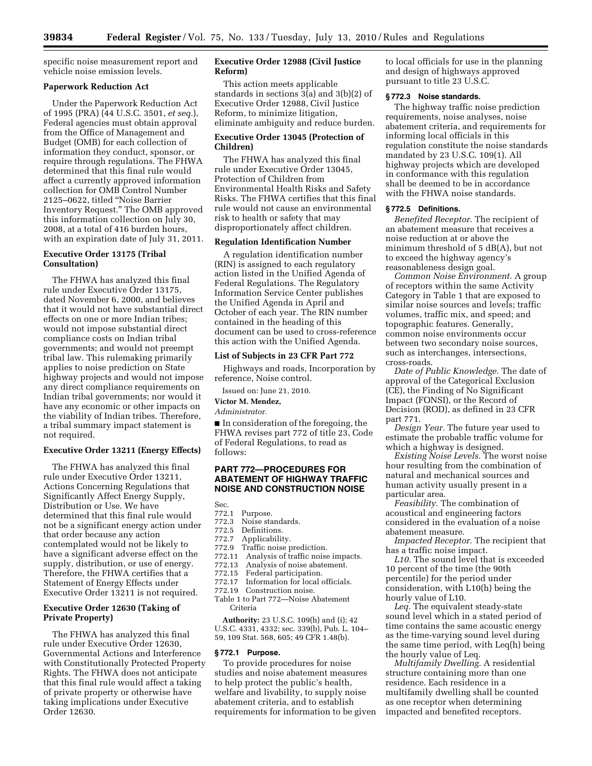specific noise measurement report and vehicle noise emission levels.

### **Paperwork Reduction Act**

Under the Paperwork Reduction Act of 1995 (PRA) (44 U.S.C. 3501, *et seq.*), Federal agencies must obtain approval from the Office of Management and Budget (OMB) for each collection of information they conduct, sponsor, or require through regulations. The FHWA determined that this final rule would affect a currently approved information collection for OMB Control Number 2125–0622, titled ''Noise Barrier Inventory Request.'' The OMB approved this information collection on July 30, 2008, at a total of 416 burden hours, with an expiration date of July 31, 2011.

# **Executive Order 13175 (Tribal Consultation)**

The FHWA has analyzed this final rule under Executive Order 13175, dated November 6, 2000, and believes that it would not have substantial direct effects on one or more Indian tribes; would not impose substantial direct compliance costs on Indian tribal governments; and would not preempt tribal law. This rulemaking primarily applies to noise prediction on State highway projects and would not impose any direct compliance requirements on Indian tribal governments; nor would it have any economic or other impacts on the viability of Indian tribes. Therefore, a tribal summary impact statement is not required.

## **Executive Order 13211 (Energy Effects)**

The FHWA has analyzed this final rule under Executive Order 13211, Actions Concerning Regulations that Significantly Affect Energy Supply, Distribution or Use. We have determined that this final rule would not be a significant energy action under that order because any action contemplated would not be likely to have a significant adverse effect on the supply, distribution, or use of energy. Therefore, the FHWA certifies that a Statement of Energy Effects under Executive Order 13211 is not required.

## **Executive Order 12630 (Taking of Private Property)**

The FHWA has analyzed this final rule under Executive Order 12630, Governmental Actions and Interference with Constitutionally Protected Property Rights. The FHWA does not anticipate that this final rule would affect a taking of private property or otherwise have taking implications under Executive Order 12630.

## **Executive Order 12988 (Civil Justice Reform)**

This action meets applicable standards in sections 3(a) and 3(b)(2) of Executive Order 12988, Civil Justice Reform, to minimize litigation, eliminate ambiguity and reduce burden.

## **Executive Order 13045 (Protection of Children)**

The FHWA has analyzed this final rule under Executive Order 13045, Protection of Children from Environmental Health Risks and Safety Risks. The FHWA certifies that this final rule would not cause an environmental risk to health or safety that may disproportionately affect children.

#### **Regulation Identification Number**

A regulation identification number (RIN) is assigned to each regulatory action listed in the Unified Agenda of Federal Regulations. The Regulatory Information Service Center publishes the Unified Agenda in April and October of each year. The RIN number contained in the heading of this document can be used to cross-reference this action with the Unified Agenda.

### **List of Subjects in 23 CFR Part 772**

Highways and roads, Incorporation by reference, Noise control.

Issued on: June 21, 2010.

## **Victor M. Mendez,**

*Administrator.* 

■ In consideration of the foregoing, the FHWA revises part 772 of title 23, Code of Federal Regulations, to read as follows:

## **PART 772—PROCEDURES FOR ABATEMENT OF HIGHWAY TRAFFIC NOISE AND CONSTRUCTION NOISE**

Sec.

- 772.1 Purpose.
- 772.3 Noise standards.
- 772.5 Definitions.<br>772.7 Applicabilit
- Applicability.
- 772.9 Traffic noise prediction.
- 772.11 Analysis of traffic noise impacts.<br>772.13 Analysis of noise abatement.
- Analysis of noise abatement.
- 772.15 Federal participation.
- 772.17 Information for local officials.
- 772.19 Construction noise.
- Table 1 to Part 772—Noise Abatement Criteria

**Authority:** 23 U.S.C. 109(h) and (i); 42 U.S.C. 4331, 4332; sec. 339(b), Pub. L. 104– 59, 109 Stat. 568, 605; 49 CFR 1.48(b).

### **§ 772.1 Purpose.**

To provide procedures for noise studies and noise abatement measures to help protect the public's health, welfare and livability, to supply noise abatement criteria, and to establish requirements for information to be given to local officials for use in the planning and design of highways approved pursuant to title 23 U.S.C.

### **§ 772.3 Noise standards.**

The highway traffic noise prediction requirements, noise analyses, noise abatement criteria, and requirements for informing local officials in this regulation constitute the noise standards mandated by 23 U.S.C. 109(1). All highway projects which are developed in conformance with this regulation shall be deemed to be in accordance with the FHWA noise standards.

#### **§ 772.5 Definitions.**

*Benefited Receptor.* The recipient of an abatement measure that receives a noise reduction at or above the minimum threshold of 5 dB(A), but not to exceed the highway agency's reasonableness design goal.

*Common Noise Environment.* A group of receptors within the same Activity Category in Table 1 that are exposed to similar noise sources and levels; traffic volumes, traffic mix, and speed; and topographic features. Generally, common noise environments occur between two secondary noise sources, such as interchanges, intersections, cross-roads.

*Date of Public Knowledge.* The date of approval of the Categorical Exclusion (CE), the Finding of No Significant Impact (FONSI), or the Record of Decision (ROD), as defined in 23 CFR part 771.

*Design Year.* The future year used to estimate the probable traffic volume for which a highway is designed.

*Existing Noise Levels.* The worst noise hour resulting from the combination of natural and mechanical sources and human activity usually present in a particular area.

*Feasibility.* The combination of acoustical and engineering factors considered in the evaluation of a noise abatement measure.

*Impacted Receptor.* The recipient that has a traffic noise impact.

*L10.* The sound level that is exceeded 10 percent of the time (the 90th percentile) for the period under consideration, with L10(h) being the hourly value of L10.

*Leq.* The equivalent steady-state sound level which in a stated period of time contains the same acoustic energy as the time-varying sound level during the same time period, with Leq(h) being the hourly value of Leq.

*Multifamily Dwelling.* A residential structure containing more than one residence. Each residence in a multifamily dwelling shall be counted as one receptor when determining impacted and benefited receptors.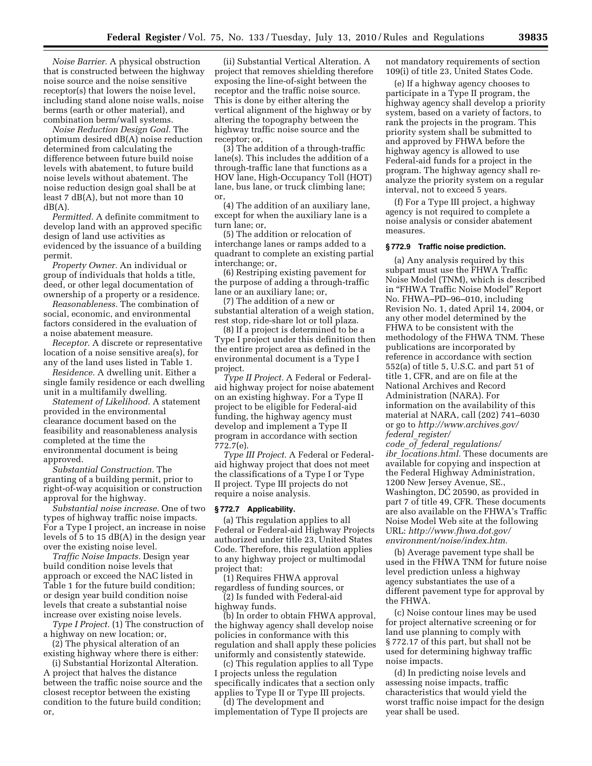*Noise Barrier.* A physical obstruction that is constructed between the highway noise source and the noise sensitive receptor(s) that lowers the noise level, including stand alone noise walls, noise berms (earth or other material), and combination berm/wall systems.

*Noise Reduction Design Goal.* The optimum desired dB(A) noise reduction determined from calculating the difference between future build noise levels with abatement, to future build noise levels without abatement. The noise reduction design goal shall be at least 7 dB(A), but not more than 10  $dB(A)$ .

*Permitted.* A definite commitment to develop land with an approved specific design of land use activities as evidenced by the issuance of a building permit.

*Property Owner.* An individual or group of individuals that holds a title, deed, or other legal documentation of ownership of a property or a residence.

*Reasonableness.* The combination of social, economic, and environmental factors considered in the evaluation of a noise abatement measure.

*Receptor.* A discrete or representative location of a noise sensitive area(s), for any of the land uses listed in Table 1.

*Residence.* A dwelling unit. Either a single family residence or each dwelling unit in a multifamily dwelling.

*Statement of Likelihood.* A statement provided in the environmental clearance document based on the feasibility and reasonableness analysis completed at the time the environmental document is being approved.

*Substantial Construction.* The granting of a building permit, prior to right-of-way acquisition or construction approval for the highway.

*Substantial noise increase.* One of two types of highway traffic noise impacts. For a Type I project, an increase in noise levels of 5 to 15 dB(A) in the design year over the existing noise level.

*Traffic Noise Impacts.* Design year build condition noise levels that approach or exceed the NAC listed in Table 1 for the future build condition; or design year build condition noise levels that create a substantial noise increase over existing noise levels.

*Type I Project.* (1) The construction of a highway on new location; or,

(2) The physical alteration of an existing highway where there is either:

(i) Substantial Horizontal Alteration. A project that halves the distance between the traffic noise source and the closest receptor between the existing condition to the future build condition; or,

(ii) Substantial Vertical Alteration. A project that removes shielding therefore exposing the line-of-sight between the receptor and the traffic noise source. This is done by either altering the vertical alignment of the highway or by altering the topography between the highway traffic noise source and the receptor; or,

(3) The addition of a through-traffic lane(s). This includes the addition of a through-traffic lane that functions as a HOV lane, High-Occupancy Toll (HOT) lane, bus lane, or truck climbing lane; or,

(4) The addition of an auxiliary lane, except for when the auxiliary lane is a turn lane; or,

(5) The addition or relocation of interchange lanes or ramps added to a quadrant to complete an existing partial interchange; or,

(6) Restriping existing pavement for the purpose of adding a through-traffic lane or an auxiliary lane; or,

(7) The addition of a new or substantial alteration of a weigh station, rest stop, ride-share lot or toll plaza.

(8) If a project is determined to be a Type I project under this definition then the entire project area as defined in the environmental document is a Type I project.

*Type II Project.* A Federal or Federalaid highway project for noise abatement on an existing highway. For a Type II project to be eligible for Federal-aid funding, the highway agency must develop and implement a Type II program in accordance with section 772.7(e).

*Type III Project.* A Federal or Federalaid highway project that does not meet the classifications of a Type I or Type II project. Type III projects do not require a noise analysis.

#### **§ 772.7 Applicability.**

(a) This regulation applies to all Federal or Federal-aid Highway Projects authorized under title 23, United States Code. Therefore, this regulation applies to any highway project or multimodal project that:

(1) Requires FHWA approval

regardless of funding sources, or (2) Is funded with Federal-aid highway funds.

(b) In order to obtain FHWA approval, the highway agency shall develop noise policies in conformance with this regulation and shall apply these policies uniformly and consistently statewide.

(c) This regulation applies to all Type I projects unless the regulation specifically indicates that a section only applies to Type II or Type III projects.

(d) The development and implementation of Type II projects are not mandatory requirements of section 109(i) of title 23, United States Code.

(e) If a highway agency chooses to participate in a Type II program, the highway agency shall develop a priority system, based on a variety of factors, to rank the projects in the program. This priority system shall be submitted to and approved by FHWA before the highway agency is allowed to use Federal-aid funds for a project in the program. The highway agency shall reanalyze the priority system on a regular interval, not to exceed 5 years.

(f) For a Type III project, a highway agency is not required to complete a noise analysis or consider abatement measures.

#### **§ 772.9 Traffic noise prediction.**

(a) Any analysis required by this subpart must use the FHWA Traffic Noise Model (TNM), which is described in "FHWA Traffic Noise Model" Report No. FHWA–PD–96–010, including Revision No. 1, dated April 14, 2004, or any other model determined by the FHWA to be consistent with the methodology of the FHWA TNM. These publications are incorporated by reference in accordance with section 552(a) of title 5, U.S.C. and part 51 of title 1, CFR, and are on file at the National Archives and Record Administration (NARA). For information on the availability of this material at NARA, call (202) 741–6030 or go to *[http://www.archives.gov/](http://www.archives.gov/federal_register/code_of_federal_regulations/ibr_locations.html)  federal*\_*[register/](http://www.archives.gov/federal_register/code_of_federal_regulations/ibr_locations.html)* 

*code*\_*of*\_*federal*\_*[regulations/](http://www.archives.gov/federal_register/code_of_federal_regulations/ibr_locations.html)  ibr*\_*[locations.html.](http://www.archives.gov/federal_register/code_of_federal_regulations/ibr_locations.html)* These documents are available for copying and inspection at the Federal Highway Administration, 1200 New Jersey Avenue, SE., Washington, DC 20590, as provided in part 7 of title 49, CFR. These documents are also available on the FHWA's Traffic Noise Model Web site at the following URL: *[http://www.fhwa.dot.gov/](http://www.fhwa.dot.gov/environment/noise/index.htm) [environment/noise/index.htm.](http://www.fhwa.dot.gov/environment/noise/index.htm)* 

(b) Average pavement type shall be used in the FHWA TNM for future noise level prediction unless a highway agency substantiates the use of a different pavement type for approval by the FHWA.

(c) Noise contour lines may be used for project alternative screening or for land use planning to comply with § 772.17 of this part, but shall not be used for determining highway traffic noise impacts.

(d) In predicting noise levels and assessing noise impacts, traffic characteristics that would yield the worst traffic noise impact for the design year shall be used.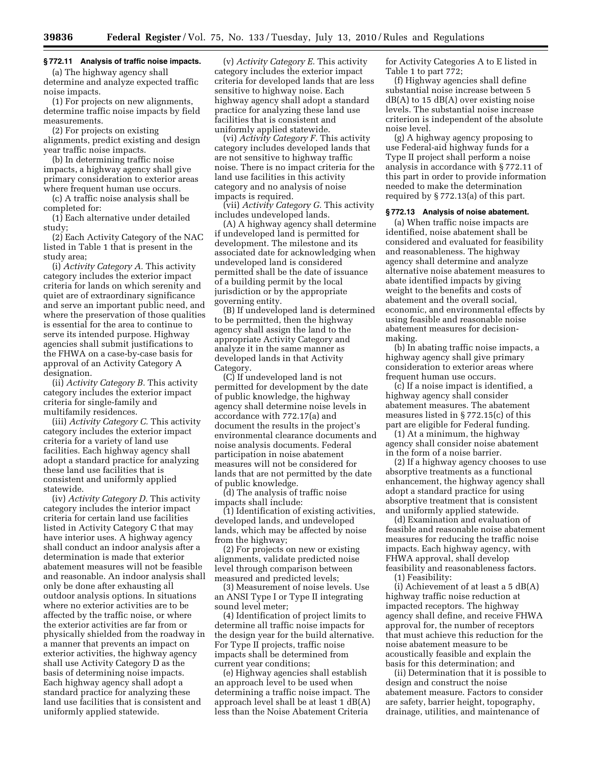# **§ 772.11 Analysis of traffic noise impacts.**

(a) The highway agency shall determine and analyze expected traffic noise impacts.

(1) For projects on new alignments, determine traffic noise impacts by field measurements.

(2) For projects on existing alignments, predict existing and design year traffic noise impacts.

(b) In determining traffic noise impacts, a highway agency shall give primary consideration to exterior areas where frequent human use occurs.

(c) A traffic noise analysis shall be completed for:

(1) Each alternative under detailed study;

(2) Each Activity Category of the NAC listed in Table 1 that is present in the study area;

(i) *Activity Category A.* This activity category includes the exterior impact criteria for lands on which serenity and quiet are of extraordinary significance and serve an important public need, and where the preservation of those qualities is essential for the area to continue to serve its intended purpose. Highway agencies shall submit justifications to the FHWA on a case-by-case basis for approval of an Activity Category A designation.

(ii) *Activity Category B.* This activity category includes the exterior impact criteria for single-family and multifamily residences.

(iii) *Activity Category C.* This activity category includes the exterior impact criteria for a variety of land use facilities. Each highway agency shall adopt a standard practice for analyzing these land use facilities that is consistent and uniformly applied statewide.

(iv) *Activity Category D.* This activity category includes the interior impact criteria for certain land use facilities listed in Activity Category C that may have interior uses. A highway agency shall conduct an indoor analysis after a determination is made that exterior abatement measures will not be feasible and reasonable. An indoor analysis shall only be done after exhausting all outdoor analysis options. In situations where no exterior activities are to be affected by the traffic noise, or where the exterior activities are far from or physically shielded from the roadway in a manner that prevents an impact on exterior activities, the highway agency shall use Activity Category D as the basis of determining noise impacts. Each highway agency shall adopt a standard practice for analyzing these land use facilities that is consistent and uniformly applied statewide.

(v) *Activity Category E.* This activity category includes the exterior impact criteria for developed lands that are less sensitive to highway noise. Each highway agency shall adopt a standard practice for analyzing these land use facilities that is consistent and uniformly applied statewide.

(vi) *Activity Category F.* This activity category includes developed lands that are not sensitive to highway traffic noise. There is no impact criteria for the land use facilities in this activity category and no analysis of noise impacts is required.

(vii) *Activity Category G.* This activity includes undeveloped lands.

(A) A highway agency shall determine if undeveloped land is permitted for development. The milestone and its associated date for acknowledging when undeveloped land is considered permitted shall be the date of issuance of a building permit by the local jurisdiction or by the appropriate governing entity.

(B) If undeveloped land is determined to be perrmitted, then the highway agency shall assign the land to the appropriate Activity Category and analyze it in the same manner as developed lands in that Activity Category.

(C) If undeveloped land is not permitted for development by the date of public knowledge, the highway agency shall determine noise levels in accordance with 772.17(a) and document the results in the project's environmental clearance documents and noise analysis documents. Federal participation in noise abatement measures will not be considered for lands that are not permitted by the date of public knowledge.

(d) The analysis of traffic noise impacts shall include:

(1) Identification of existing activities, developed lands, and undeveloped lands, which may be affected by noise from the highway;

(2) For projects on new or existing alignments, validate predicted noise level through comparison between measured and predicted levels;

(3) Measurement of noise levels. Use an ANSI Type I or Type II integrating sound level meter;

(4) Identification of project limits to determine all traffic noise impacts for the design year for the build alternative. For Type II projects, traffic noise impacts shall be determined from current year conditions;

(e) Highway agencies shall establish an approach level to be used when determining a traffic noise impact. The approach level shall be at least 1 dB(A) less than the Noise Abatement Criteria

for Activity Categories A to E listed in Table 1 to part 772;

(f) Highway agencies shall define substantial noise increase between 5  $dB(A)$  to 15  $dB(A)$  over existing noise levels. The substantial noise increase criterion is independent of the absolute noise level.

(g) A highway agency proposing to use Federal-aid highway funds for a Type II project shall perform a noise analysis in accordance with § 772.11 of this part in order to provide information needed to make the determination required by § 772.13(a) of this part.

#### **§ 772.13 Analysis of noise abatement.**

(a) When traffic noise impacts are identified, noise abatement shall be considered and evaluated for feasibility and reasonableness. The highway agency shall determine and analyze alternative noise abatement measures to abate identified impacts by giving weight to the benefits and costs of abatement and the overall social, economic, and environmental effects by using feasible and reasonable noise abatement measures for decisionmaking.

(b) In abating traffic noise impacts, a highway agency shall give primary consideration to exterior areas where frequent human use occurs.

(c) If a noise impact is identified, a highway agency shall consider abatement measures. The abatement measures listed in § 772.15(c) of this part are eligible for Federal funding.

(1) At a minimum, the highway agency shall consider noise abatement in the form of a noise barrier.

(2) If a highway agency chooses to use absorptive treatments as a functional enhancement, the highway agency shall adopt a standard practice for using absorptive treatment that is consistent and uniformly applied statewide.

(d) Examination and evaluation of feasible and reasonable noise abatement measures for reducing the traffic noise impacts. Each highway agency, with FHWA approval, shall develop feasibility and reasonableness factors.

(1) Feasibility:

(i) Achievement of at least a 5 dB(A) highway traffic noise reduction at impacted receptors. The highway agency shall define, and receive FHWA approval for, the number of receptors that must achieve this reduction for the noise abatement measure to be acoustically feasible and explain the basis for this determination; and

(ii) Determination that it is possible to design and construct the noise abatement measure. Factors to consider are safety, barrier height, topography, drainage, utilities, and maintenance of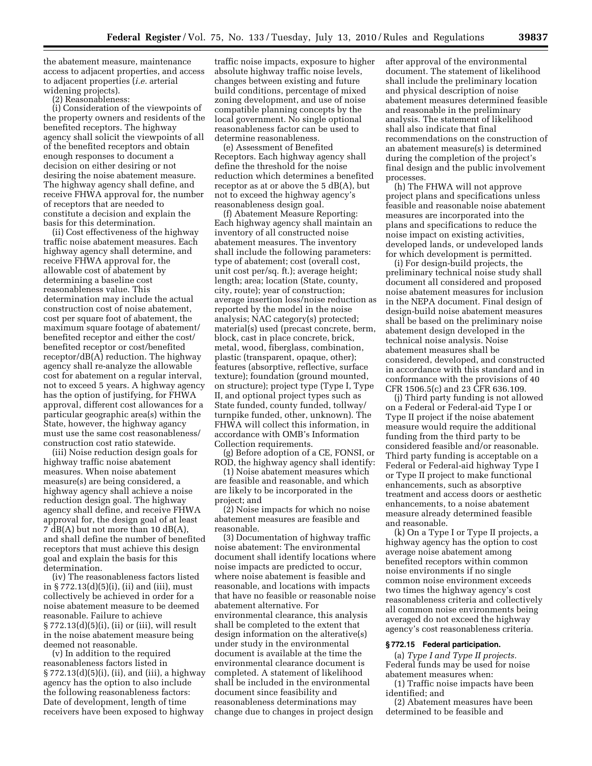the abatement measure, maintenance access to adjacent properties, and access to adjacent properties (*i.e.* arterial widening projects).

(2) Reasonableness:

(i) Consideration of the viewpoints of the property owners and residents of the benefited receptors. The highway agency shall solicit the viewpoints of all of the benefited receptors and obtain enough responses to document a decision on either desiring or not desiring the noise abatement measure. The highway agency shall define, and receive FHWA approval for, the number of receptors that are needed to constitute a decision and explain the basis for this determination.

(ii) Cost effectiveness of the highway traffic noise abatement measures. Each highway agency shall determine, and receive FHWA approval for, the allowable cost of abatement by determining a baseline cost reasonableness value. This determination may include the actual construction cost of noise abatement, cost per square foot of abatement, the maximum square footage of abatement/ benefited receptor and either the cost/ benefited receptor or cost/benefited receptor/dB(A) reduction. The highway agency shall re-analyze the allowable cost for abatement on a regular interval, not to exceed 5 years. A highway agency has the option of justifying, for FHWA approval, different cost allowances for a particular geographic area(s) within the State, however, the highway agancy must use the same cost reasonableness/ construction cost ratio statewide.

(iii) Noise reduction design goals for highway traffic noise abatement measures. When noise abatement measure(s) are being considered, a highway agency shall achieve a noise reduction design goal. The highway agency shall define, and receive FHWA approval for, the design goal of at least 7 dB(A) but not more than 10 dB(A), and shall define the number of benefited receptors that must achieve this design goal and explain the basis for this determination.

(iv) The reasonableness factors listed in § 772.13(d)(5)(i), (ii) and (iii), must collectively be achieved in order for a noise abatement measure to be deemed reasonable. Failure to achieve § 772.13(d)(5)(i), (ii) or (iii), will result in the noise abatement measure being deemed not reasonable.

(v) In addition to the required reasonableness factors listed in § 772.13(d)(5)(i), (ii), and (iii), a highway agency has the option to also include the following reasonableness factors: Date of development, length of time receivers have been exposed to highway

traffic noise impacts, exposure to higher absolute highway traffic noise levels, changes between existing and future build conditions, percentage of mixed zoning development, and use of noise compatible planning concepts by the local government. No single optional reasonableness factor can be used to determine reasonableness.

(e) Assessment of Benefited Receptors. Each highway agency shall define the threshold for the noise reduction which determines a benefited receptor as at or above the  $5 dB(A)$ , but not to exceed the highway agency's reasonableness design goal.

(f) Abatement Measure Reporting: Each highway agency shall maintain an inventory of all constructed noise abatement measures. The inventory shall include the following parameters: type of abatement; cost (overall cost, unit cost per/sq. ft.); average height; length; area; location (State, county, city, route); year of construction; average insertion loss/noise reduction as reported by the model in the noise analysis; NAC category(s) protected; material(s) used (precast concrete, berm, block, cast in place concrete, brick, metal, wood, fiberglass, combination, plastic (transparent, opaque, other); features (absorptive, reflective, surface texture); foundation (ground mounted, on structure); project type (Type I, Type II, and optional project types such as State funded, county funded, tollway/ turnpike funded, other, unknown). The FHWA will collect this information, in accordance with OMB's Information Collection requirements.

(g) Before adoption of a CE, FONSI, or ROD, the highway agency shall identify:

(1) Noise abatement measures which are feasible and reasonable, and which are likely to be incorporated in the project; and

(2) Noise impacts for which no noise abatement measures are feasible and reasonable.

(3) Documentation of highway traffic noise abatement: The environmental document shall identify locations where noise impacts are predicted to occur, where noise abatement is feasible and reasonable, and locations with impacts that have no feasible or reasonable noise abatement alternative. For environmental clearance, this analysis shall be completed to the extent that design information on the alterative(s) under study in the environmental document is available at the time the environmental clearance document is completed. A statement of likelihood shall be included in the environmental document since feasibility and reasonableness determinations may change due to changes in project design

after approval of the environmental document. The statement of likelihood shall include the preliminary location and physical description of noise abatement measures determined feasible and reasonable in the preliminary analysis. The statement of likelihood shall also indicate that final recommendations on the construction of an abatement measure(s) is determined during the completion of the project's final design and the public involvement processes.

(h) The FHWA will not approve project plans and specifications unless feasible and reasonable noise abatement measures are incorporated into the plans and specifications to reduce the noise impact on existing activities, developed lands, or undeveloped lands for which development is permitted.

(i) For design-build projects, the preliminary technical noise study shall document all considered and proposed noise abatement measures for inclusion in the NEPA document. Final design of design-build noise abatement measures shall be based on the preliminary noise abatement design developed in the technical noise analysis. Noise abatement measures shall be considered, developed, and constructed in accordance with this standard and in conformance with the provisions of 40 CFR 1506.5(c) and 23 CFR 636.109.

(j) Third party funding is not allowed on a Federal or Federal-aid Type I or Type II project if the noise abatement measure would require the additional funding from the third party to be considered feasible and/or reasonable. Third party funding is acceptable on a Federal or Federal-aid highway Type I or Type II project to make functional enhancements, such as absorptive treatment and access doors or aesthetic enhancements, to a noise abatement measure already determined feasible and reasonable.

(k) On a Type I or Type II projects, a highway agency has the option to cost average noise abatement among benefited receptors within common noise environments if no single common noise environment exceeds two times the highway agency's cost reasonableness criteria and collectively all common noise environments being averaged do not exceed the highway agency's cost reasonableness criteria.

### **§ 772.15 Federal participation.**

(a) *Type I and Type II projects.*  Federal funds may be used for noise abatement measures when:

(1) Traffic noise impacts have been identified; and

(2) Abatement measures have been determined to be feasible and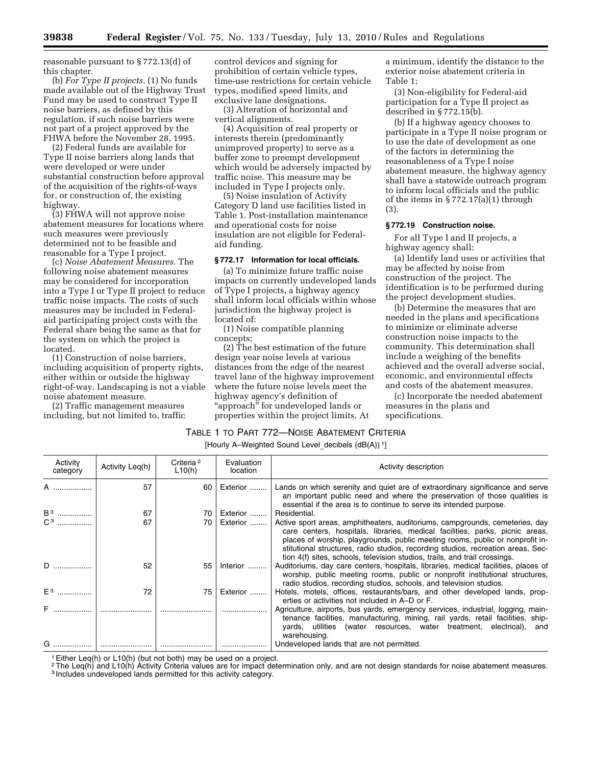reasonable pursuant to § 772.13(d) of this chapter.

(b) *For Type II projects.* (1) No funds made available out of the Highway Trust Fund may be used to construct Type II noise barriers, as defined by this regulation, if such noise barriers were not part of a project approved by the FHWA before the November 28, 1995.

(2) Federal funds are available for Type II noise barriers along lands that were developed or were under substantial construction before approval of the acquisition of the rights-of-ways for, or construction of, the existing highway.

(3) FHWA will not approve noise abatement measures for locations where such measures were previously determined not to be feasible and reasonable for a Type I project.

(c) *Noise Abatement Measures.* The following noise abatement measures may be considered for incorporation into a Type I or Type II project to reduce traffic noise impacts. The costs of such measures may be included in Federalaid participating project costs with the Federal share being the same as that for the system on which the project is located.

(1) Construction of noise barriers, including acquisition of property rights, either within or outside the highway right-of-way. Landscaping is not a viable noise abatement measure.

(2) Traffic management measures including, but not limited to, traffic

control devices and signing for prohibition of certain vehicle types, time-use restrictions for certain vehicle types, modified speed limits, and exclusive lane designations.

(3) Alteration of horizontal and vertical alignments.

(4) Acquisition of real property or interests therein (predominantly unimproved property) to serve as a buffer zone to preempt development which would be adversely impacted by traffic noise. This measure may be included in Type I projects only.

(5) Noise insulation of Activity Category D land use facilities listed in Table 1. Post-installation maintenance and operational costs for noise insulation are not eligible for Federalaid funding.

## **§ 772.17 Information for local officials.**

(a) To minimize future traffic noise impacts on currently undeveloped lands of Type I projects, a highway agency shall inform local officials within whose jurisdiction the highway project is located of:

(1) Noise compatible planning concepts;

(2) The best estimation of the future design year noise levels at various distances from the edge of the nearest travel lane of the highway improvement where the future noise levels meet the highway agency's definition of "approach" for undeveloped lands or properties within the project limits. At

a minimum, identify the distance to the exterior noise abatement criteria in Table 1;

(3) Non-eligibility for Federal-aid participation for a Type II project as described in § 772.15(b).

(b) If a highway agency chooses to participate in a Type II noise program or to use the date of development as one of the factors in determining the reasonableness of a Type I noise abatement measure, the highway agency shall have a statewide outreach program to inform local officials and the public of the items in § 772.17(a)(1) through (3).

### **§ 772.19 Construction noise.**

For all Type I and II projects, a highway agency shall:

(a) Identify land uses or activities that may be affected by noise from construction of the project. The identification is to be performed during the project development studies.

(b) Determine the measures that are needed in the plans and specifications to minimize or eliminate adverse construction noise impacts to the community. This determination shall include a weighing of the benefits achieved and the overall adverse social, economic, and environmental effects and costs of the abatement measures.

(c) Incorporate the needed abatement measures in the plans and specifications.

### TABLE 1 TO PART 772—NOISE ABATEMENT CRITERIA

[Hourly A-Weighted Sound Level decibels (dB(A)) <sup>1</sup>]

| Activity<br>category | Activity Leq(h) | Criteria <sup>2</sup><br>L10(h) | Evaluation<br>location | Activity description                                                                                                                                                                                                                                                                                                                                                                                            |
|----------------------|-----------------|---------------------------------|------------------------|-----------------------------------------------------------------------------------------------------------------------------------------------------------------------------------------------------------------------------------------------------------------------------------------------------------------------------------------------------------------------------------------------------------------|
|                      | 57              | 60                              | Exterior               | Lands on which serenity and quiet are of extraordinary significance and serve<br>an important public need and where the preservation of those qualities is<br>essential if the area is to continue to serve its intended purpose.                                                                                                                                                                               |
| B <sup>3</sup>       | 67              | 70                              | Exterior               | Residential.                                                                                                                                                                                                                                                                                                                                                                                                    |
| $C^3$                | 67              | 70                              | Exterior               | Active sport areas, amphitheaters, auditoriums, campgrounds, cemeteries, day<br>care centers, hospitals, libraries, medical facilities, parks, picnic areas,<br>places of worship, playgrounds, public meeting rooms, public or nonprofit in-<br>stitutional structures, radio studios, recording studios, recreation areas, Sec-<br>tion 4(f) sites, schools, television studios, trails, and trail crossings. |
| D                    | 52              | 55                              | Interior               | Auditoriums, day care centers, hospitals, libraries, medical facilities, places of<br>worship, public meeting rooms, public or nonprofit institutional structures,<br>radio studios, recording studios, schools, and television studios.                                                                                                                                                                        |
| $E^3$                | 72              | 75                              | Exterior               | Hotels, motels, offices, restaurants/bars, and other developed lands, prop-<br>erties or activities not included in A–D or F.                                                                                                                                                                                                                                                                                   |
| F                    |                 |                                 |                        | Agriculture, airports, bus yards, emergency services, industrial, logging, main-<br>tenance facilities, manufacturing, mining, rail yards, retail facilities, ship-<br>yards, utilities (water resources, water treatment, electrical), and<br>warehousing.                                                                                                                                                     |
| G                    |                 |                                 |                        | Undeveloped lands that are not permitted.                                                                                                                                                                                                                                                                                                                                                                       |

1Either Leq(h) or L10(h) (but not both) may be used on a project.

<sup>2</sup>The Leq(h) and L10(h) Activity Criteria values are for impact determination only, and are not design standards for noise abatement measures.

3 Includes undeveloped lands permitted for this activity category.